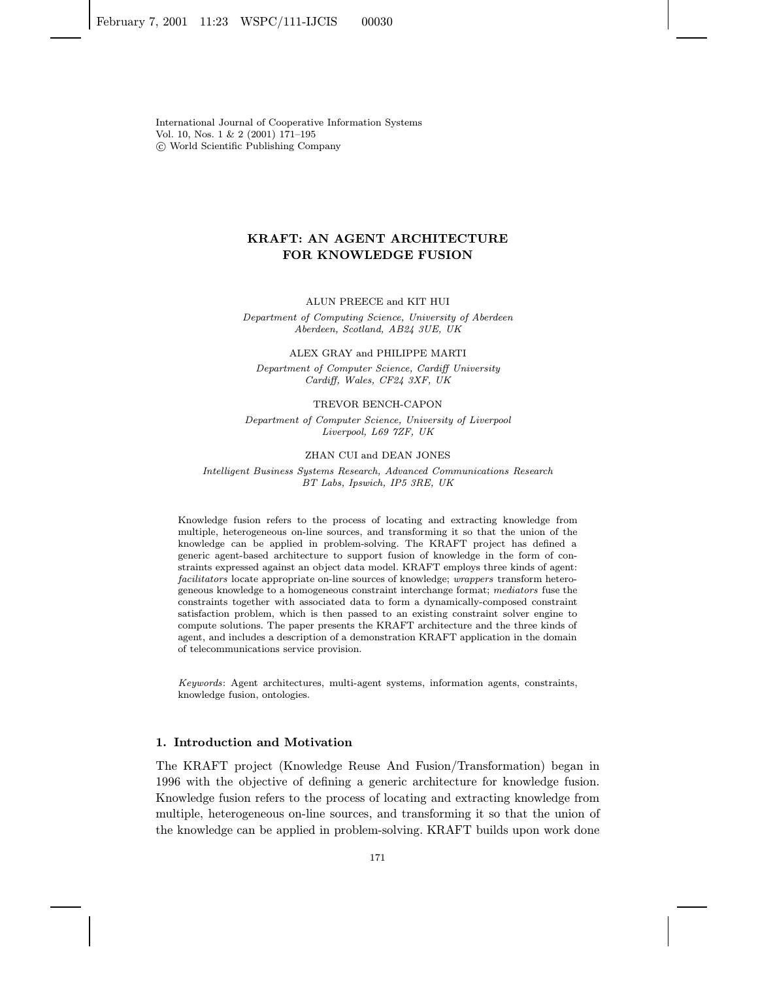International Journal of Cooperative Information Systems Vol. 10, Nos. 1 & 2 (2001) 171–195 c World Scientific Publishing Company

# KRAFT: AN AGENT ARCHITECTURE FOR KNOWLEDGE FUSION

#### ALUN PREECE and KIT HUI

Department of Computing Science, University of Aberdeen Aberdeen, Scotland, AB24 3UE, UK

#### ALEX GRAY and PHILIPPE MARTI

Department of Computer Science, Cardiff University Cardiff, Wales, CF24 3XF, UK

#### TREVOR BENCH-CAPON

Department of Computer Science, University of Liverpool Liverpool, L69 7ZF, UK

#### ZHAN CUI and DEAN JONES

Intelligent Business Systems Research, Advanced Communications Research BT Labs, Ipswich, IP5 3RE, UK

Knowledge fusion refers to the process of locating and extracting knowledge from multiple, heterogeneous on-line sources, and transforming it so that the union of the knowledge can be applied in problem-solving. The KRAFT project has defined a generic agent-based architecture to support fusion of knowledge in the form of constraints expressed against an object data model. KRAFT employs three kinds of agent: facilitators locate appropriate on-line sources of knowledge; wrappers transform heterogeneous knowledge to a homogeneous constraint interchange format; mediators fuse the constraints together with associated data to form a dynamically-composed constraint satisfaction problem, which is then passed to an existing constraint solver engine to compute solutions. The paper presents the KRAFT architecture and the three kinds of agent, and includes a description of a demonstration KRAFT application in the domain of telecommunications service provision.

Keywords: Agent architectures, multi-agent systems, information agents, constraints, knowledge fusion, ontologies.

### 1. Introduction and Motivation

The KRAFT project (Knowledge Reuse And Fusion/Transformation) began in 1996 with the objective of defining a generic architecture for knowledge fusion. Knowledge fusion refers to the process of locating and extracting knowledge from multiple, heterogeneous on-line sources, and transforming it so that the union of the knowledge can be applied in problem-solving. KRAFT builds upon work done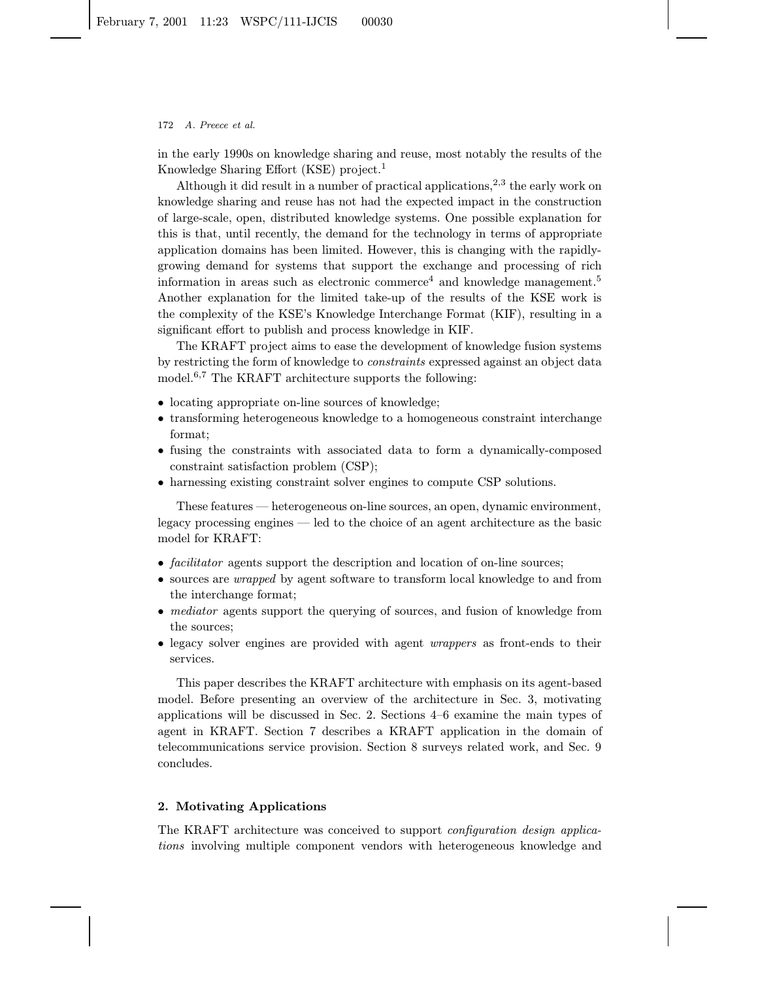in the early 1990s on knowledge sharing and reuse, most notably the results of the Knowledge Sharing Effort (KSE) project.<sup>1</sup>

Although it did result in a number of practical applications,  $2,3$  the early work on knowledge sharing and reuse has not had the expected impact in the construction of large-scale, open, distributed knowledge systems. One possible explanation for this is that, until recently, the demand for the technology in terms of appropriate application domains has been limited. However, this is changing with the rapidlygrowing demand for systems that support the exchange and processing of rich information in areas such as electronic commerce<sup>4</sup> and knowledge management.<sup>5</sup> Another explanation for the limited take-up of the results of the KSE work is the complexity of the KSE's Knowledge Interchange Format (KIF), resulting in a significant effort to publish and process knowledge in KIF.

The KRAFT project aims to ease the development of knowledge fusion systems by restricting the form of knowledge to constraints expressed against an object data model.<sup>6</sup>,<sup>7</sup> The KRAFT architecture supports the following:

- locating appropriate on-line sources of knowledge;
- transforming heterogeneous knowledge to a homogeneous constraint interchange format;
- fusing the constraints with associated data to form a dynamically-composed constraint satisfaction problem (CSP);
- harnessing existing constraint solver engines to compute CSP solutions.

These features — heterogeneous on-line sources, an open, dynamic environment, legacy processing engines — led to the choice of an agent architecture as the basic model for KRAFT:

- facilitator agents support the description and location of on-line sources;
- sources are wrapped by agent software to transform local knowledge to and from the interchange format;
- *mediator* agents support the querying of sources, and fusion of knowledge from the sources;
- legacy solver engines are provided with agent wrappers as front-ends to their services.

This paper describes the KRAFT architecture with emphasis on its agent-based model. Before presenting an overview of the architecture in Sec. 3, motivating applications will be discussed in Sec. 2. Sections 4–6 examine the main types of agent in KRAFT. Section 7 describes a KRAFT application in the domain of telecommunications service provision. Section 8 surveys related work, and Sec. 9 concludes.

## 2. Motivating Applications

The KRAFT architecture was conceived to support configuration design applications involving multiple component vendors with heterogeneous knowledge and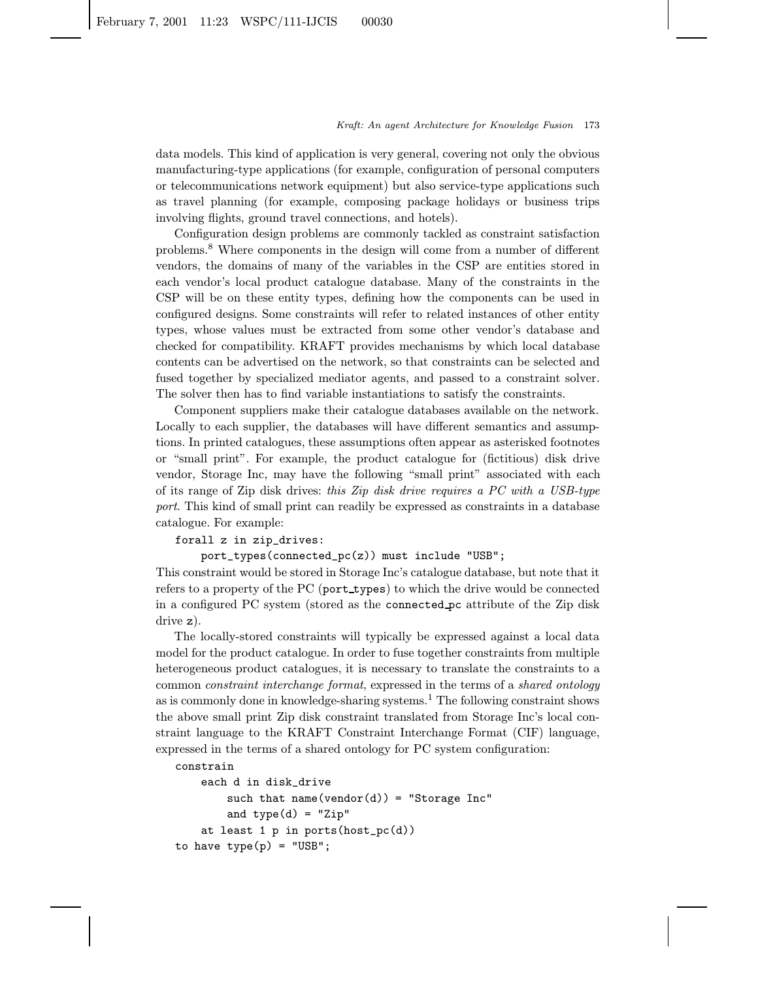data models. This kind of application is very general, covering not only the obvious manufacturing-type applications (for example, configuration of personal computers or telecommunications network equipment) but also service-type applications such as travel planning (for example, composing package holidays or business trips involving flights, ground travel connections, and hotels).

Configuration design problems are commonly tackled as constraint satisfaction problems.<sup>8</sup> Where components in the design will come from a number of different vendors, the domains of many of the variables in the CSP are entities stored in each vendor's local product catalogue database. Many of the constraints in the CSP will be on these entity types, defining how the components can be used in configured designs. Some constraints will refer to related instances of other entity types, whose values must be extracted from some other vendor's database and checked for compatibility. KRAFT provides mechanisms by which local database contents can be advertised on the network, so that constraints can be selected and fused together by specialized mediator agents, and passed to a constraint solver. The solver then has to find variable instantiations to satisfy the constraints.

Component suppliers make their catalogue databases available on the network. Locally to each supplier, the databases will have different semantics and assumptions. In printed catalogues, these assumptions often appear as asterisked footnotes or "small print". For example, the product catalogue for (fictitious) disk drive vendor, Storage Inc, may have the following "small print" associated with each of its range of Zip disk drives: this Zip disk drive requires a PC with a USB-type port. This kind of small print can readily be expressed as constraints in a database catalogue. For example:

forall z in zip\_drives:

port\_types(connected\_pc(z)) must include "USB";

This constraint would be stored in Storage Inc's catalogue database, but note that it refers to a property of the PC (port types) to which the drive would be connected in a configured PC system (stored as the connected pc attribute of the Zip disk drive z).

The locally-stored constraints will typically be expressed against a local data model for the product catalogue. In order to fuse together constraints from multiple heterogeneous product catalogues, it is necessary to translate the constraints to a common constraint interchange format, expressed in the terms of a shared ontology as is commonly done in knowledge-sharing systems.<sup>1</sup> The following constraint shows the above small print Zip disk constraint translated from Storage Inc's local constraint language to the KRAFT Constraint Interchange Format (CIF) language, expressed in the terms of a shared ontology for PC system configuration:

```
constrain
    each d in disk_drive
        such that name(vendor(d)) = "Storage Inc"
        and type(d) = "Zip"at least 1 p in ports(host_pc(d))
to have type(p) = "USB";
```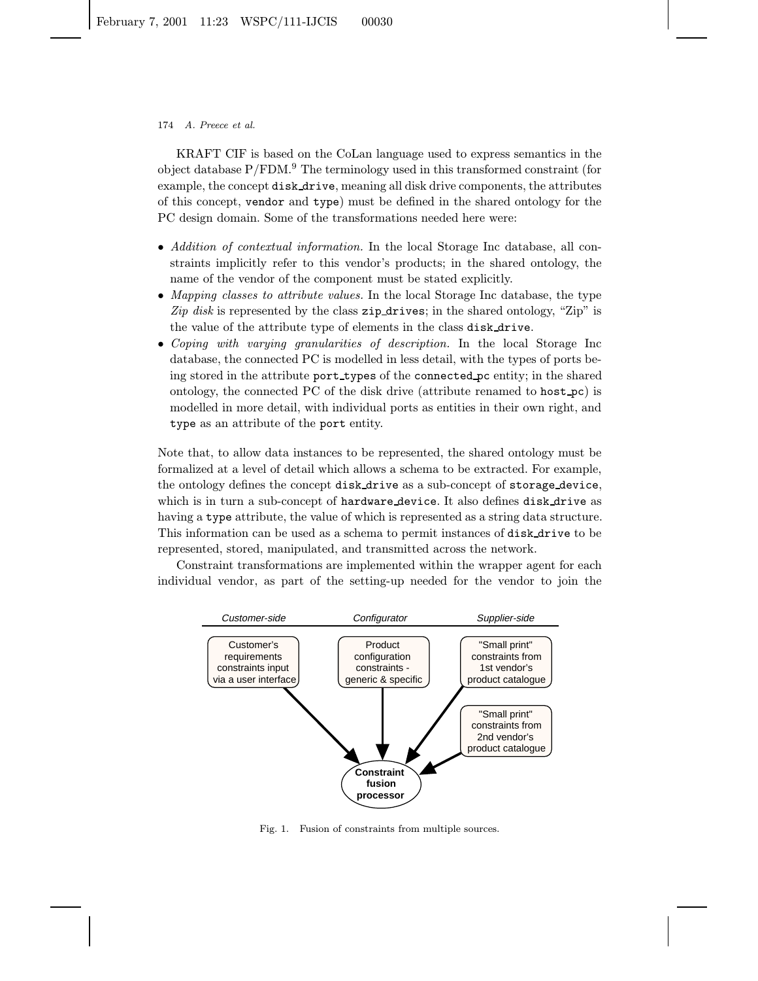#### 174 A. Preece et al.

KRAFT CIF is based on the CoLan language used to express semantics in the object database P/FDM.<sup>9</sup> The terminology used in this transformed constraint (for example, the concept disk drive, meaning all disk drive components, the attributes of this concept, vendor and type) must be defined in the shared ontology for the PC design domain. Some of the transformations needed here were:

- Addition of contextual information. In the local Storage Inc database, all constraints implicitly refer to this vendor's products; in the shared ontology, the name of the vendor of the component must be stated explicitly.
- Mapping classes to attribute values. In the local Storage Inc database, the type Zip disk is represented by the class zip\_drives; in the shared ontology, "Zip" is the value of the attribute type of elements in the class disk drive.
- Coping with varying granularities of description. In the local Storage Inc database, the connected PC is modelled in less detail, with the types of ports being stored in the attribute port\_types of the connected pc entity; in the shared ontology, the connected PC of the disk drive (attribute renamed to host pc) is modelled in more detail, with individual ports as entities in their own right, and type as an attribute of the port entity.

Note that, to allow data instances to be represented, the shared ontology must be formalized at a level of detail which allows a schema to be extracted. For example, the ontology defines the concept disk drive as a sub-concept of storage device, which is in turn a sub-concept of hardware device. It also defines disk drive as having a type attribute, the value of which is represented as a string data structure. This information can be used as a schema to permit instances of disk drive to be represented, stored, manipulated, and transmitted across the network.

Constraint transformations are implemented within the wrapper agent for each individual vendor, as part of the setting-up needed for the vendor to join the



Fig. 1. Fusion of constraints from multiple sources.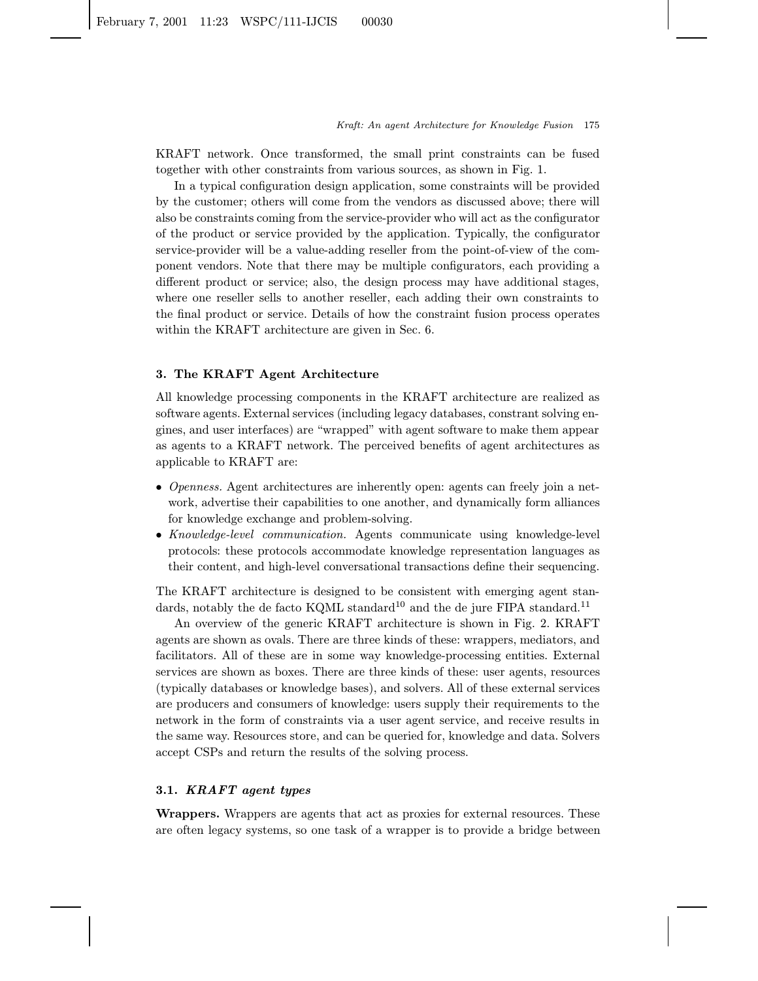KRAFT network. Once transformed, the small print constraints can be fused together with other constraints from various sources, as shown in Fig. 1.

In a typical configuration design application, some constraints will be provided by the customer; others will come from the vendors as discussed above; there will also be constraints coming from the service-provider who will act as the configurator of the product or service provided by the application. Typically, the configurator service-provider will be a value-adding reseller from the point-of-view of the component vendors. Note that there may be multiple configurators, each providing a different product or service; also, the design process may have additional stages, where one reseller sells to another reseller, each adding their own constraints to the final product or service. Details of how the constraint fusion process operates within the KRAFT architecture are given in Sec. 6.

## 3. The KRAFT Agent Architecture

All knowledge processing components in the KRAFT architecture are realized as software agents. External services (including legacy databases, constrant solving engines, and user interfaces) are "wrapped" with agent software to make them appear as agents to a KRAFT network. The perceived benefits of agent architectures as applicable to KRAFT are:

- Openness. Agent architectures are inherently open: agents can freely join a network, advertise their capabilities to one another, and dynamically form alliances for knowledge exchange and problem-solving.
- Knowledge-level communication. Agents communicate using knowledge-level protocols: these protocols accommodate knowledge representation languages as their content, and high-level conversational transactions define their sequencing.

The KRAFT architecture is designed to be consistent with emerging agent standards, notably the de facto KQML standard<sup>10</sup> and the de jure FIPA standard.<sup>11</sup>

An overview of the generic KRAFT architecture is shown in Fig. 2. KRAFT agents are shown as ovals. There are three kinds of these: wrappers, mediators, and facilitators. All of these are in some way knowledge-processing entities. External services are shown as boxes. There are three kinds of these: user agents, resources (typically databases or knowledge bases), and solvers. All of these external services are producers and consumers of knowledge: users supply their requirements to the network in the form of constraints via a user agent service, and receive results in the same way. Resources store, and can be queried for, knowledge and data. Solvers accept CSPs and return the results of the solving process.

## 3.1. KRAFT agent types

Wrappers. Wrappers are agents that act as proxies for external resources. These are often legacy systems, so one task of a wrapper is to provide a bridge between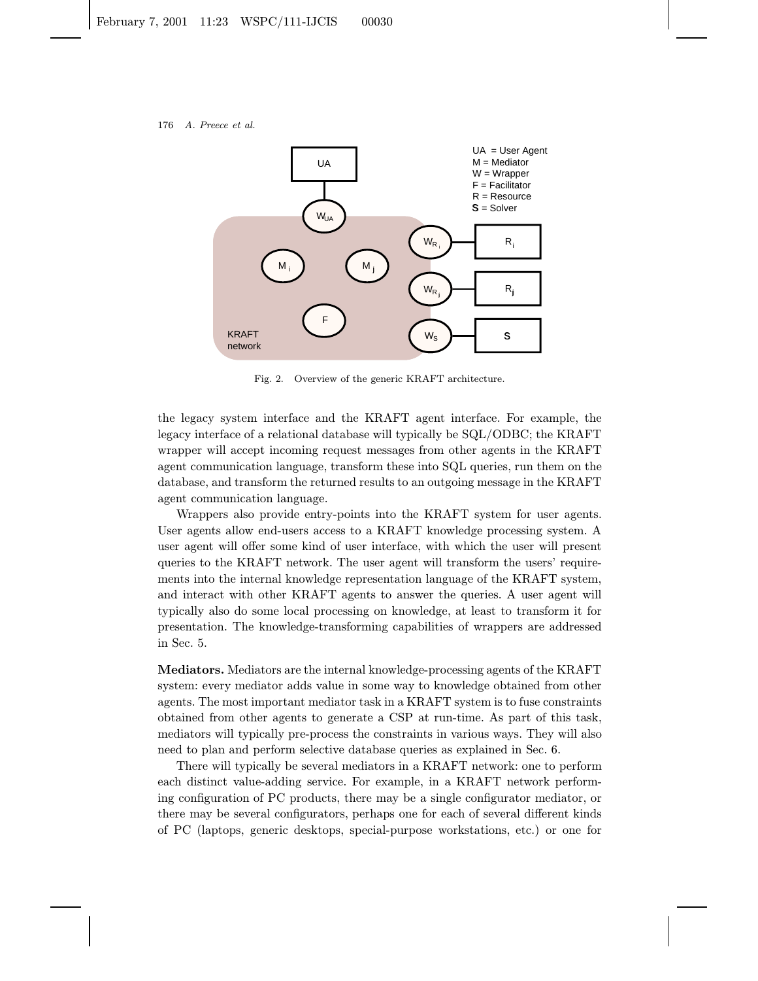

Fig. 2. Overview of the generic KRAFT architecture.

the legacy system interface and the KRAFT agent interface. For example, the legacy interface of a relational database will typically be SQL/ODBC; the KRAFT wrapper will accept incoming request messages from other agents in the KRAFT agent communication language, transform these into SQL queries, run them on the database, and transform the returned results to an outgoing message in the KRAFT agent communication language.

Wrappers also provide entry-points into the KRAFT system for user agents. User agents allow end-users access to a KRAFT knowledge processing system. A user agent will offer some kind of user interface, with which the user will present queries to the KRAFT network. The user agent will transform the users' requirements into the internal knowledge representation language of the KRAFT system, and interact with other KRAFT agents to answer the queries. A user agent will typically also do some local processing on knowledge, at least to transform it for presentation. The knowledge-transforming capabilities of wrappers are addressed in Sec. 5.

Mediators. Mediators are the internal knowledge-processing agents of the KRAFT system: every mediator adds value in some way to knowledge obtained from other agents. The most important mediator task in a KRAFT system is to fuse constraints obtained from other agents to generate a CSP at run-time. As part of this task, mediators will typically pre-process the constraints in various ways. They will also need to plan and perform selective database queries as explained in Sec. 6.

There will typically be several mediators in a KRAFT network: one to perform each distinct value-adding service. For example, in a KRAFT network performing configuration of PC products, there may be a single configurator mediator, or there may be several configurators, perhaps one for each of several different kinds of PC (laptops, generic desktops, special-purpose workstations, etc.) or one for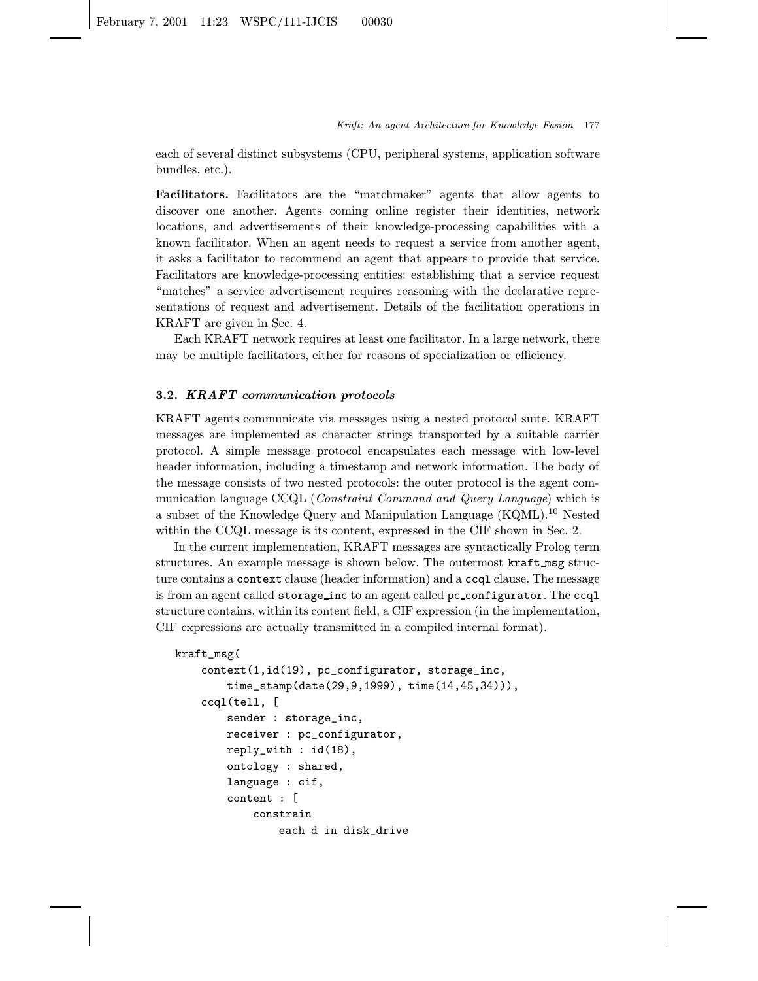each of several distinct subsystems (CPU, peripheral systems, application software bundles, etc.).

Facilitators. Facilitators are the "matchmaker" agents that allow agents to discover one another. Agents coming online register their identities, network locations, and advertisements of their knowledge-processing capabilities with a known facilitator. When an agent needs to request a service from another agent, it asks a facilitator to recommend an agent that appears to provide that service. Facilitators are knowledge-processing entities: establishing that a service request "matches" a service advertisement requires reasoning with the declarative representations of request and advertisement. Details of the facilitation operations in KRAFT are given in Sec. 4.

Each KRAFT network requires at least one facilitator. In a large network, there may be multiple facilitators, either for reasons of specialization or efficiency.

## 3.2. KRAFT communication protocols

KRAFT agents communicate via messages using a nested protocol suite. KRAFT messages are implemented as character strings transported by a suitable carrier protocol. A simple message protocol encapsulates each message with low-level header information, including a timestamp and network information. The body of the message consists of two nested protocols: the outer protocol is the agent communication language CCQL (Constraint Command and Query Language) which is a subset of the Knowledge Query and Manipulation Language (KQML).<sup>10</sup> Nested within the CCQL message is its content, expressed in the CIF shown in Sec. 2.

In the current implementation, KRAFT messages are syntactically Prolog term structures. An example message is shown below. The outermost kraft msg structure contains a context clause (header information) and a ccql clause. The message is from an agent called storage inc to an agent called pc\_configurator. The ccql structure contains, within its content field, a CIF expression (in the implementation, CIF expressions are actually transmitted in a compiled internal format).

```
kraft_msg(
    context(1,id(19), pc_configurator, storage_inc,
        time_stamp(date(29,9,1999), time(14,45,34))),
    ccql(tell, [
        sender : storage_inc,
        receiver : pc_configurator,
        reply_with : id(18),
        ontology : shared,
        language : cif,
        content : [
            constrain
                each d in disk_drive
```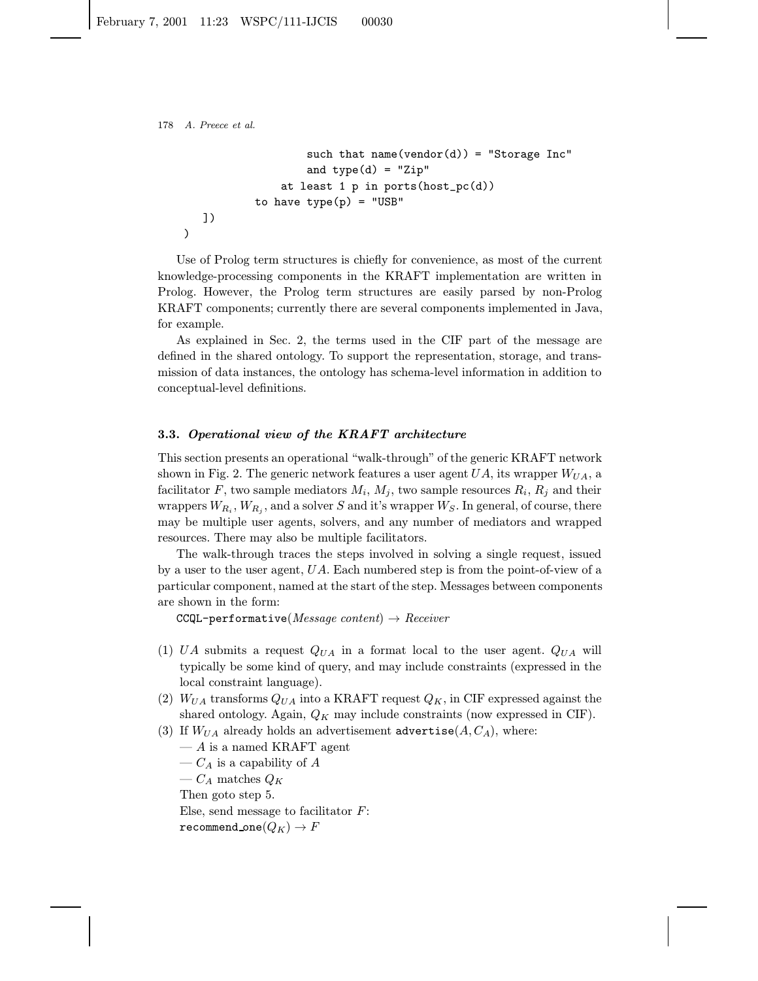```
such that name(vendor(d)) = "Storage Inc"
                    and type(d) = "Zip"at least 1 p in ports(host_pc(d))
           to have type(p) = "USB"
   ])
\lambda
```
Use of Prolog term structures is chiefly for convenience, as most of the current knowledge-processing components in the KRAFT implementation are written in Prolog. However, the Prolog term structures are easily parsed by non-Prolog KRAFT components; currently there are several components implemented in Java, for example.

As explained in Sec. 2, the terms used in the CIF part of the message are defined in the shared ontology. To support the representation, storage, and transmission of data instances, the ontology has schema-level information in addition to conceptual-level definitions.

## 3.3. Operational view of the KRAFT architecture

This section presents an operational "walk-through" of the generic KRAFT network shown in Fig. 2. The generic network features a user agent  $UA$ , its wrapper  $W_{UA}$ , a facilitator F, two sample mediators  $M_i$ ,  $M_j$ , two sample resources  $R_i$ ,  $R_j$  and their wrappers  $W_{R_i}$ ,  $W_{R_j}$ , and a solver S and it's wrapper  $W_S$ . In general, of course, there may be multiple user agents, solvers, and any number of mediators and wrapped resources. There may also be multiple facilitators.

The walk-through traces the steps involved in solving a single request, issued by a user to the user agent, UA. Each numbered step is from the point-of-view of a particular component, named at the start of the step. Messages between components are shown in the form:

CCQL-performative(*Message content*)  $\rightarrow$  *Receiver* 

- (1) UA submits a request  $Q_{UA}$  in a format local to the user agent.  $Q_{UA}$  will typically be some kind of query, and may include constraints (expressed in the local constraint language).
- (2)  $W_{UA}$  transforms  $Q_{UA}$  into a KRAFT request  $Q_K$ , in CIF expressed against the shared ontology. Again,  $Q_K$  may include constraints (now expressed in CIF).
- (3) If  $W_{UA}$  already holds an advertisement advertise( $A, C_A$ ), where:
	- $-$  A is a named KRAFT agent
	- $-C_A$  is a capability of A
	- $-C_A$  matches  $Q_K$

Then goto step 5.

Else, send message to facilitator  $F$ :

recommend one $(Q_K) \to F$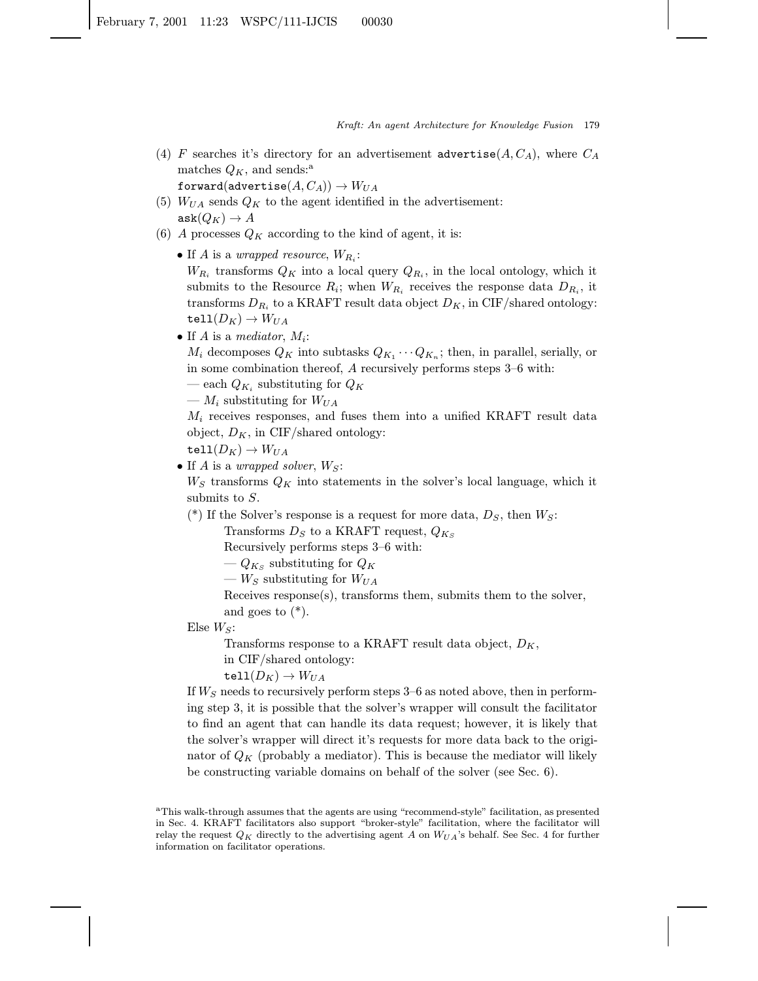(4) F searches it's directory for an advertisement advertise(A,  $C_A$ ), where  $C_A$ matches  $Q_K$ , and sends:<sup>a</sup>

forward(advertise $(A, C_A)) \rightarrow W_{UA}$ 

- (5)  $W_{UA}$  sends  $Q_K$  to the agent identified in the advertisement: ask $(Q_K) \to A$
- (6) A processes  $Q_K$  according to the kind of agent, it is:
	- If A is a wrapped resource,  $W_{R_i}$ :

 $W_{R_i}$  transforms  $Q_K$  into a local query  $Q_{R_i}$ , in the local ontology, which it submits to the Resource  $R_i$ ; when  $W_{R_i}$  receives the response data  $D_{R_i}$ , it transforms  $D_{R_i}$  to a KRAFT result data object  $D_K$ , in CIF/shared ontology: tell $(D_K) \to W_{UA}$ 

• If A is a mediator,  $M_i$ :

 $M_i$  decomposes  $Q_K$  into subtasks  $Q_{K_1} \cdots Q_{K_n}$ ; then, in parallel, serially, or in some combination thereof, A recursively performs steps 3–6 with:

— each  $Q_{K_i}$  substituting for  $Q_K$ 

—  $M_i$  substituting for  $W_{UA}$ 

 $M_i$  receives responses, and fuses them into a unified KRAFT result data object,  $D_K$ , in CIF/shared ontology:

$$
\mathtt{tell}(D_K) \to W_{UA}
$$

• If A is a wrapped solver,  $W_S$ :

 $W<sub>S</sub>$  transforms  $Q<sub>K</sub>$  into statements in the solver's local language, which it submits to S.

(\*) If the Solver's response is a request for more data,  $D<sub>S</sub>$ , then  $W<sub>S</sub>$ :

Transforms  $D_S$  to a KRAFT request,  $Q_{K_S}$ 

Recursively performs steps 3–6 with:

 $-Q_{K_S}$  substituting for  $Q_K$ 

—  $W_S$  substituting for  $W_{UA}$ 

Receives response(s), transforms them, submits them to the solver, and goes to  $(*)$ .

Else  $W_S$ :

Transforms response to a KRAFT result data object,  $D_K$ ,

in CIF/shared ontology:

tell $(D_K) \to W_{UA}$ 

If  $W_S$  needs to recursively perform steps  $3-6$  as noted above, then in performing step 3, it is possible that the solver's wrapper will consult the facilitator to find an agent that can handle its data request; however, it is likely that the solver's wrapper will direct it's requests for more data back to the originator of  $Q_K$  (probably a mediator). This is because the mediator will likely be constructing variable domains on behalf of the solver (see Sec. 6).

<sup>a</sup>This walk-through assumes that the agents are using "recommend-style" facilitation, as presented in Sec. 4. KRAFT facilitators also support "broker-style" facilitation, where the facilitator will relay the request  $Q_K$  directly to the advertising agent A on  $W_{UA}$ 's behalf. See Sec. 4 for further information on facilitator operations.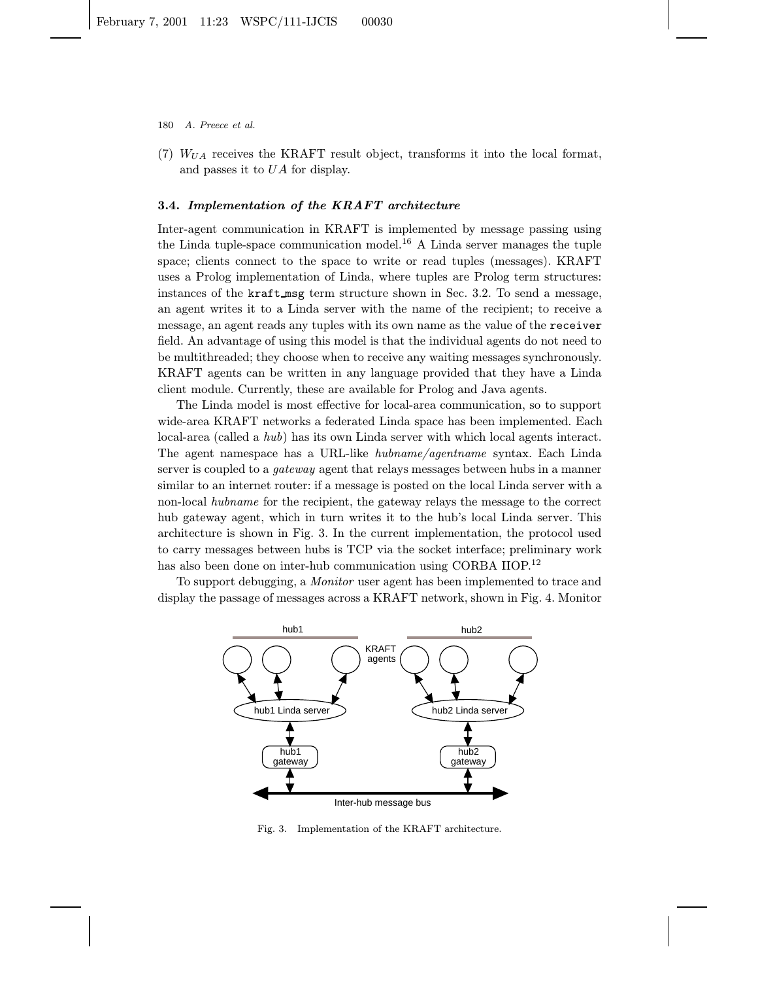- 180 A. Preece et al.
- (7)  $W_{UA}$  receives the KRAFT result object, transforms it into the local format, and passes it to UA for display.

### 3.4. Implementation of the KRAFT architecture

Inter-agent communication in KRAFT is implemented by message passing using the Linda tuple-space communication model.<sup>16</sup> A Linda server manages the tuple space; clients connect to the space to write or read tuples (messages). KRAFT uses a Prolog implementation of Linda, where tuples are Prolog term structures: instances of the kraft msg term structure shown in Sec. 3.2. To send a message, an agent writes it to a Linda server with the name of the recipient; to receive a message, an agent reads any tuples with its own name as the value of the receiver field. An advantage of using this model is that the individual agents do not need to be multithreaded; they choose when to receive any waiting messages synchronously. KRAFT agents can be written in any language provided that they have a Linda client module. Currently, these are available for Prolog and Java agents.

The Linda model is most effective for local-area communication, so to support wide-area KRAFT networks a federated Linda space has been implemented. Each local-area (called a hub) has its own Linda server with which local agents interact. The agent namespace has a URL-like hubname/agentname syntax. Each Linda server is coupled to a *gateway* agent that relays messages between hubs in a manner similar to an internet router: if a message is posted on the local Linda server with a non-local hubname for the recipient, the gateway relays the message to the correct hub gateway agent, which in turn writes it to the hub's local Linda server. This architecture is shown in Fig. 3. In the current implementation, the protocol used to carry messages between hubs is TCP via the socket interface; preliminary work has also been done on inter-hub communication using CORBA IIOP.<sup>12</sup>

To support debugging, a Monitor user agent has been implemented to trace and display the passage of messages across a KRAFT network, shown in Fig. 4. Monitor



Fig. 3. Implementation of the KRAFT architecture.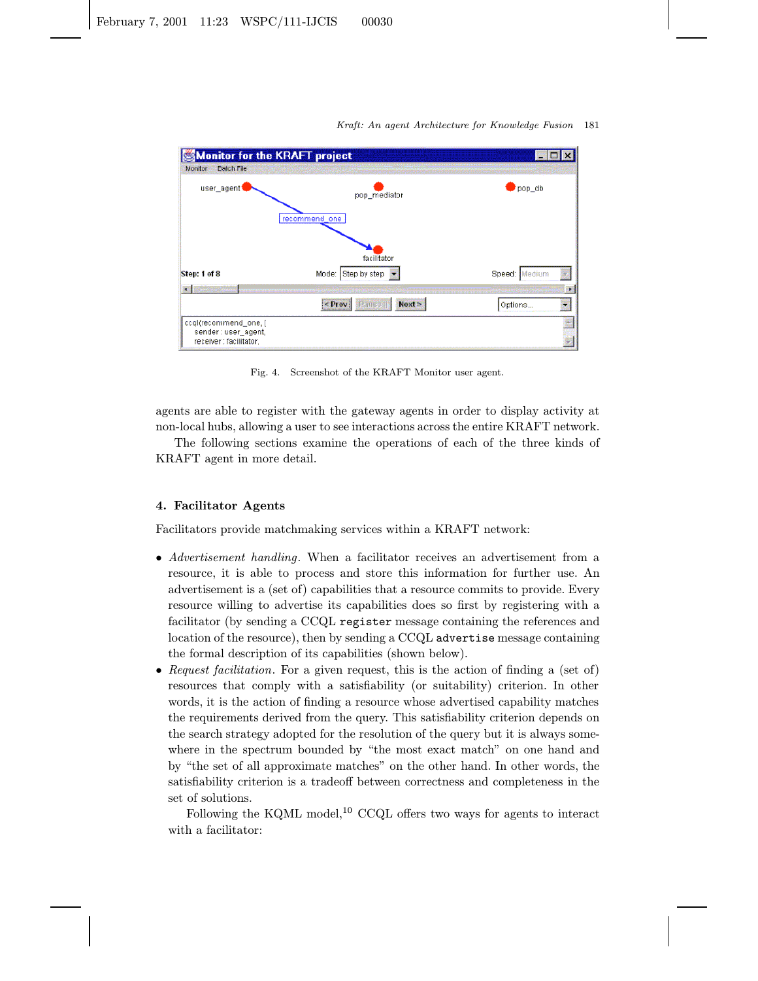

Kraft: An agent Architecture for Knowledge Fusion 181

Fig. 4. Screenshot of the KRAFT Monitor user agent.

agents are able to register with the gateway agents in order to display activity at non-local hubs, allowing a user to see interactions across the entire KRAFT network.

The following sections examine the operations of each of the three kinds of KRAFT agent in more detail.

### 4. Facilitator Agents

Facilitators provide matchmaking services within a KRAFT network:

- Advertisement handling. When a facilitator receives an advertisement from a resource, it is able to process and store this information for further use. An advertisement is a (set of) capabilities that a resource commits to provide. Every resource willing to advertise its capabilities does so first by registering with a facilitator (by sending a CCQL register message containing the references and location of the resource), then by sending a CCQL advertise message containing the formal description of its capabilities (shown below).
- Request facilitation. For a given request, this is the action of finding a (set of) resources that comply with a satisfiability (or suitability) criterion. In other words, it is the action of finding a resource whose advertised capability matches the requirements derived from the query. This satisfiability criterion depends on the search strategy adopted for the resolution of the query but it is always somewhere in the spectrum bounded by "the most exact match" on one hand and by "the set of all approximate matches" on the other hand. In other words, the satisfiability criterion is a tradeoff between correctness and completeness in the set of solutions.

Following the KQML model,<sup>10</sup> CCQL offers two ways for agents to interact with a facilitator: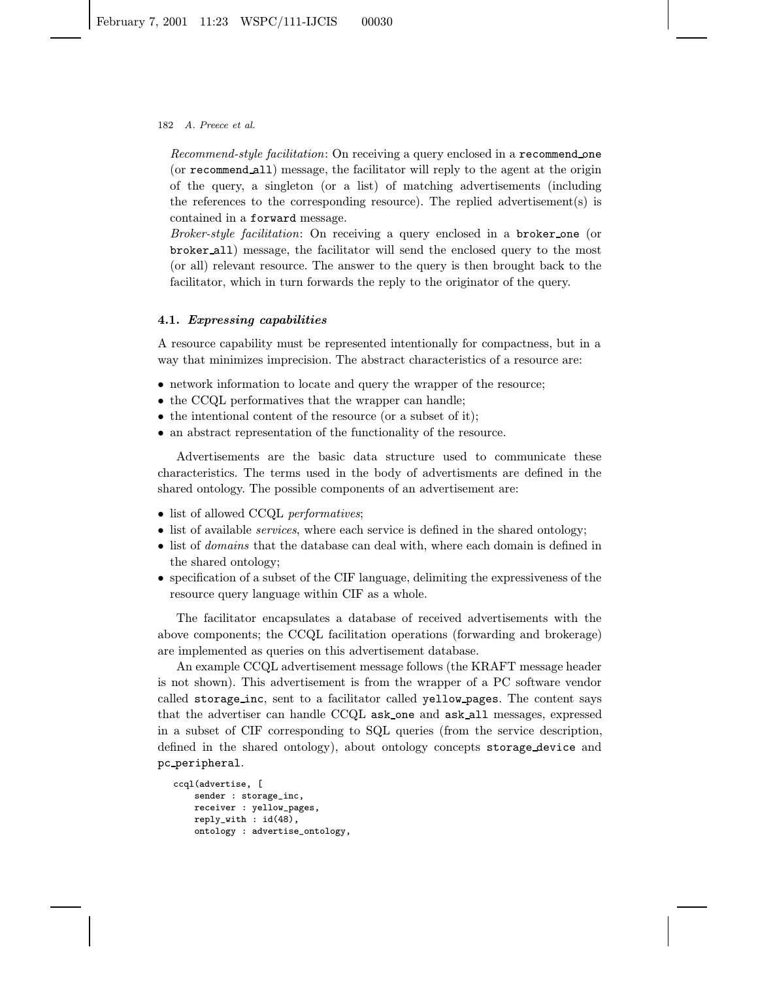#### 182 A. Preece et al.

Recommend-style facilitation: On receiving a query enclosed in a recommend one (or recommend all) message, the facilitator will reply to the agent at the origin of the query, a singleton (or a list) of matching advertisements (including the references to the corresponding resource). The replied advertisement(s) is contained in a forward message.

Broker-style facilitation: On receiving a query enclosed in a broker-one (or broker all) message, the facilitator will send the enclosed query to the most (or all) relevant resource. The answer to the query is then brought back to the facilitator, which in turn forwards the reply to the originator of the query.

## 4.1. Expressing capabilities

A resource capability must be represented intentionally for compactness, but in a way that minimizes imprecision. The abstract characteristics of a resource are:

- network information to locate and query the wrapper of the resource;
- the CCQL performatives that the wrapper can handle;
- the intentional content of the resource (or a subset of it);
- an abstract representation of the functionality of the resource.

Advertisements are the basic data structure used to communicate these characteristics. The terms used in the body of advertisments are defined in the shared ontology. The possible components of an advertisement are:

- list of allowed CCQL *performatives*;
- list of available *services*, where each service is defined in the shared ontology;
- list of *domains* that the database can deal with, where each domain is defined in the shared ontology;
- specification of a subset of the CIF language, delimiting the expressiveness of the resource query language within CIF as a whole.

The facilitator encapsulates a database of received advertisements with the above components; the CCQL facilitation operations (forwarding and brokerage) are implemented as queries on this advertisement database.

An example CCQL advertisement message follows (the KRAFT message header is not shown). This advertisement is from the wrapper of a PC software vendor called storage inc, sent to a facilitator called yellow pages. The content says that the advertiser can handle CCQL ask one and ask all messages, expressed in a subset of CIF corresponding to SQL queries (from the service description, defined in the shared ontology), about ontology concepts storage device and pc peripheral.

```
ccql(advertise, [
    sender : storage_inc,
    receiver : yellow_pages,
    reply_with : id(48),
    ontology : advertise_ontology,
```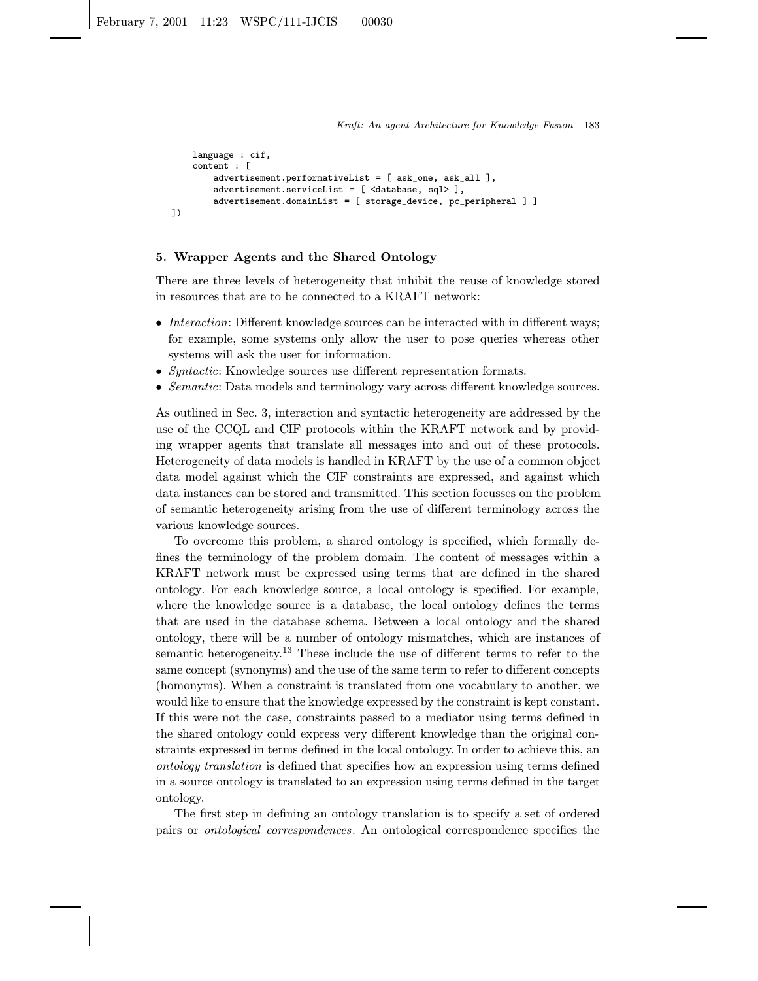```
language : cif,
    content : [
        advertisement.performativeList = [ ask_one, ask_all ],
        advertisement.serviceList = [ <database, sql> ],
        advertisement.domainList = [ storage_device, pc_peripheral ] ]
])
```
### 5. Wrapper Agents and the Shared Ontology

There are three levels of heterogeneity that inhibit the reuse of knowledge stored in resources that are to be connected to a KRAFT network:

- Interaction: Different knowledge sources can be interacted with in different ways; for example, some systems only allow the user to pose queries whereas other systems will ask the user for information.
- Syntactic: Knowledge sources use different representation formats.
- Semantic: Data models and terminology vary across different knowledge sources.

As outlined in Sec. 3, interaction and syntactic heterogeneity are addressed by the use of the CCQL and CIF protocols within the KRAFT network and by providing wrapper agents that translate all messages into and out of these protocols. Heterogeneity of data models is handled in KRAFT by the use of a common object data model against which the CIF constraints are expressed, and against which data instances can be stored and transmitted. This section focusses on the problem of semantic heterogeneity arising from the use of different terminology across the various knowledge sources.

To overcome this problem, a shared ontology is specified, which formally defines the terminology of the problem domain. The content of messages within a KRAFT network must be expressed using terms that are defined in the shared ontology. For each knowledge source, a local ontology is specified. For example, where the knowledge source is a database, the local ontology defines the terms that are used in the database schema. Between a local ontology and the shared ontology, there will be a number of ontology mismatches, which are instances of semantic heterogeneity.<sup>13</sup> These include the use of different terms to refer to the same concept (synonyms) and the use of the same term to refer to different concepts (homonyms). When a constraint is translated from one vocabulary to another, we would like to ensure that the knowledge expressed by the constraint is kept constant. If this were not the case, constraints passed to a mediator using terms defined in the shared ontology could express very different knowledge than the original constraints expressed in terms defined in the local ontology. In order to achieve this, an ontology translation is defined that specifies how an expression using terms defined in a source ontology is translated to an expression using terms defined in the target ontology.

The first step in defining an ontology translation is to specify a set of ordered pairs or ontological correspondences. An ontological correspondence specifies the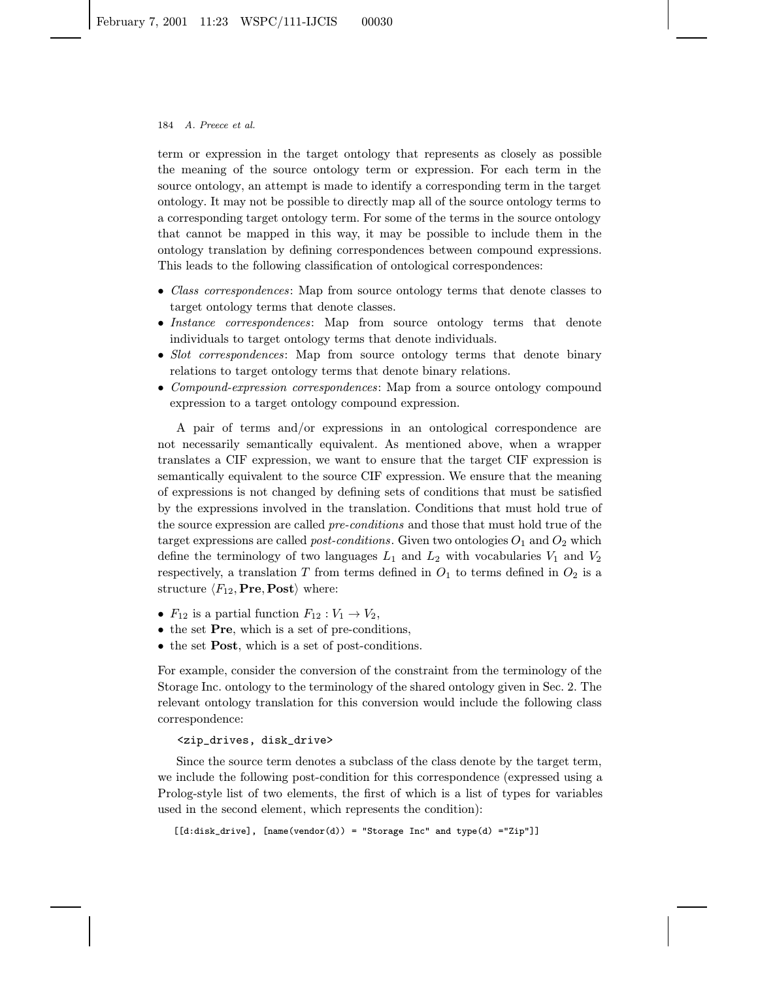term or expression in the target ontology that represents as closely as possible the meaning of the source ontology term or expression. For each term in the source ontology, an attempt is made to identify a corresponding term in the target ontology. It may not be possible to directly map all of the source ontology terms to a corresponding target ontology term. For some of the terms in the source ontology that cannot be mapped in this way, it may be possible to include them in the ontology translation by defining correspondences between compound expressions. This leads to the following classification of ontological correspondences:

- *Class correspondences*: Map from source ontology terms that denote classes to target ontology terms that denote classes.
- Instance correspondences: Map from source ontology terms that denote individuals to target ontology terms that denote individuals.
- Slot correspondences: Map from source ontology terms that denote binary relations to target ontology terms that denote binary relations.
- Compound-expression correspondences: Map from a source ontology compound expression to a target ontology compound expression.

A pair of terms and/or expressions in an ontological correspondence are not necessarily semantically equivalent. As mentioned above, when a wrapper translates a CIF expression, we want to ensure that the target CIF expression is semantically equivalent to the source CIF expression. We ensure that the meaning of expressions is not changed by defining sets of conditions that must be satisfied by the expressions involved in the translation. Conditions that must hold true of the source expression are called pre-conditions and those that must hold true of the target expressions are called *post-conditions*. Given two ontologies  $O_1$  and  $O_2$  which define the terminology of two languages  $L_1$  and  $L_2$  with vocabularies  $V_1$  and  $V_2$ respectively, a translation T from terms defined in  $O_1$  to terms defined in  $O_2$  is a structure  $\langle F_{12}, \text{Pre}, \text{Post} \rangle$  where:

- $F_{12}$  is a partial function  $F_{12}: V_1 \rightarrow V_2$ ,
- the set Pre, which is a set of pre-conditions,
- the set **Post**, which is a set of post-conditions.

For example, consider the conversion of the constraint from the terminology of the Storage Inc. ontology to the terminology of the shared ontology given in Sec. 2. The relevant ontology translation for this conversion would include the following class correspondence:

#### <zip\_drives, disk\_drive>

Since the source term denotes a subclass of the class denote by the target term, we include the following post-condition for this correspondence (expressed using a Prolog-style list of two elements, the first of which is a list of types for variables used in the second element, which represents the condition):

[[d:disk\_drive], [name(vendor(d)) = "Storage Inc" and type(d) ="Zip"]]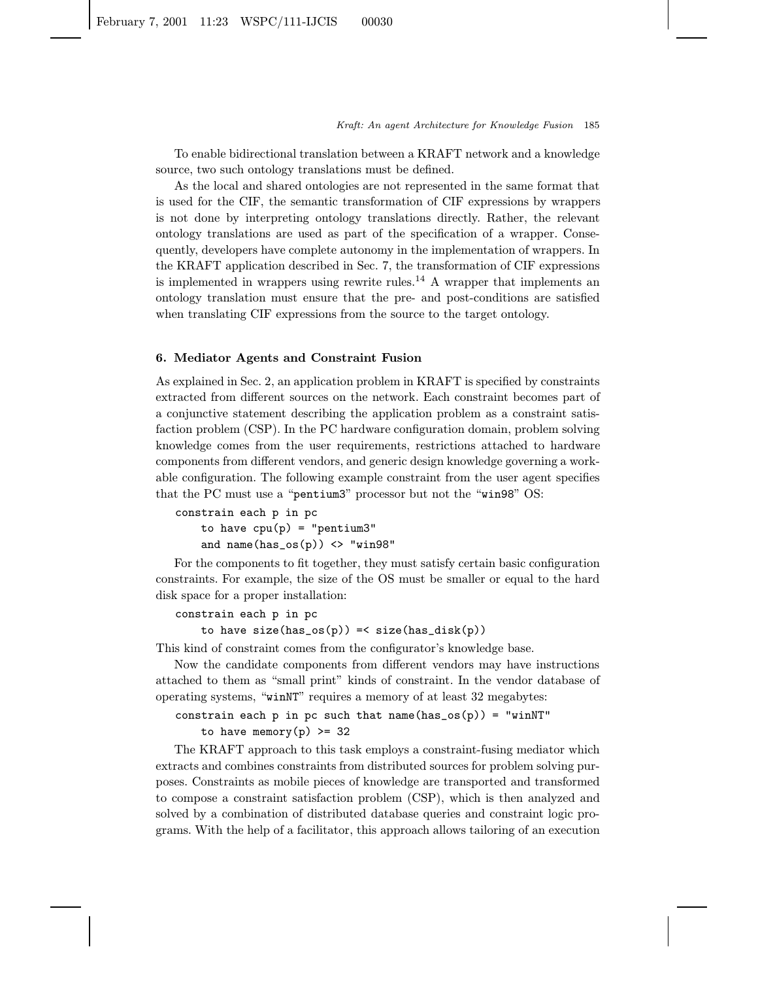To enable bidirectional translation between a KRAFT network and a knowledge source, two such ontology translations must be defined.

As the local and shared ontologies are not represented in the same format that is used for the CIF, the semantic transformation of CIF expressions by wrappers is not done by interpreting ontology translations directly. Rather, the relevant ontology translations are used as part of the specification of a wrapper. Consequently, developers have complete autonomy in the implementation of wrappers. In the KRAFT application described in Sec. 7, the transformation of CIF expressions is implemented in wrappers using rewrite rules.<sup>14</sup> A wrapper that implements an ontology translation must ensure that the pre- and post-conditions are satisfied when translating CIF expressions from the source to the target ontology.

## 6. Mediator Agents and Constraint Fusion

As explained in Sec. 2, an application problem in KRAFT is specified by constraints extracted from different sources on the network. Each constraint becomes part of a conjunctive statement describing the application problem as a constraint satisfaction problem (CSP). In the PC hardware configuration domain, problem solving knowledge comes from the user requirements, restrictions attached to hardware components from different vendors, and generic design knowledge governing a workable configuration. The following example constraint from the user agent specifies that the PC must use a "pentium3" processor but not the "win98" OS:

```
constrain each p in pc
    to have cpu(p) = "pentium3"and name(has_os(p)) \Leftrightarrow "win98"
```
For the components to fit together, they must satisfy certain basic configuration constraints. For example, the size of the OS must be smaller or equal to the hard disk space for a proper installation:

```
constrain each p in pc
```

```
to have size(has_os(p)) =< size(has_disk(p))
```
This kind of constraint comes from the configurator's knowledge base.

Now the candidate components from different vendors may have instructions attached to them as "small print" kinds of constraint. In the vendor database of operating systems, "winNT" requires a memory of at least 32 megabytes:

# constrain each  $p$  in  $pc$  such that name(has\_os( $p$ )) = "winNT" to have memory(p)  $>= 32$

The KRAFT approach to this task employs a constraint-fusing mediator which extracts and combines constraints from distributed sources for problem solving purposes. Constraints as mobile pieces of knowledge are transported and transformed to compose a constraint satisfaction problem (CSP), which is then analyzed and solved by a combination of distributed database queries and constraint logic programs. With the help of a facilitator, this approach allows tailoring of an execution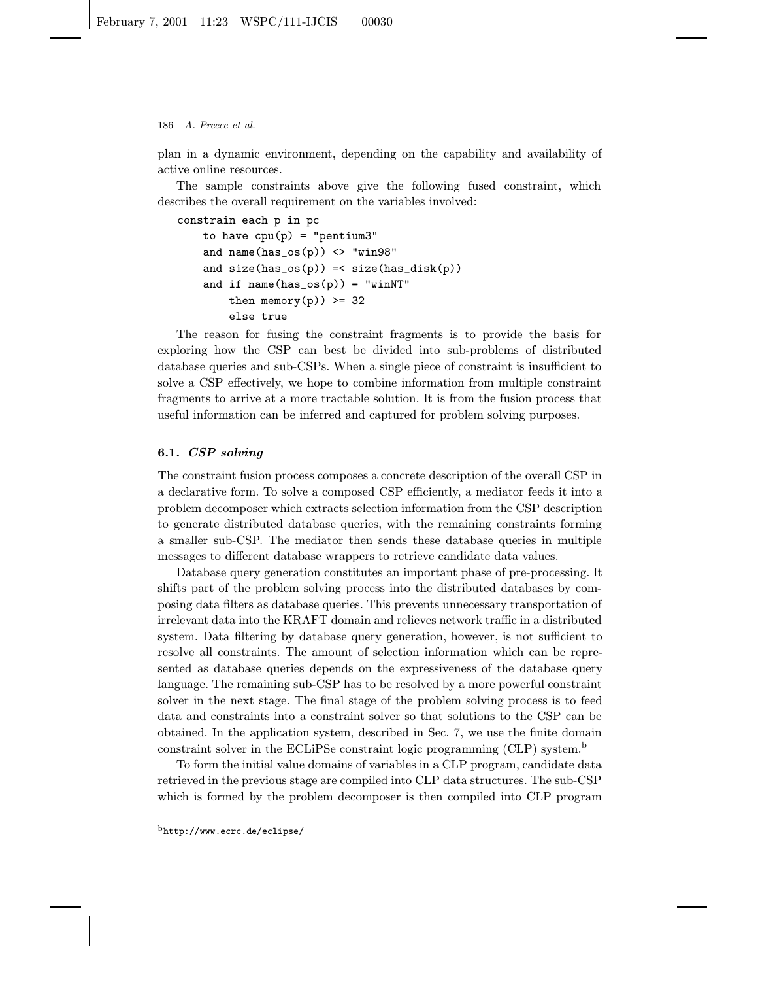plan in a dynamic environment, depending on the capability and availability of active online resources.

The sample constraints above give the following fused constraint, which describes the overall requirement on the variables involved:

```
constrain each p in pc
    to have cpu(p) = "pentium3"and name(has_os(p)) <> "win98"
    and size(has_os(p)) \leq size(has\_disk(p))and if name(has_os(p)) = "winNT"then memory(p)) >= 32
        else true
```
The reason for fusing the constraint fragments is to provide the basis for exploring how the CSP can best be divided into sub-problems of distributed database queries and sub-CSPs. When a single piece of constraint is insufficient to solve a CSP effectively, we hope to combine information from multiple constraint fragments to arrive at a more tractable solution. It is from the fusion process that useful information can be inferred and captured for problem solving purposes.

### 6.1. CSP solving

The constraint fusion process composes a concrete description of the overall CSP in a declarative form. To solve a composed CSP efficiently, a mediator feeds it into a problem decomposer which extracts selection information from the CSP description to generate distributed database queries, with the remaining constraints forming a smaller sub-CSP. The mediator then sends these database queries in multiple messages to different database wrappers to retrieve candidate data values.

Database query generation constitutes an important phase of pre-processing. It shifts part of the problem solving process into the distributed databases by composing data filters as database queries. This prevents unnecessary transportation of irrelevant data into the KRAFT domain and relieves network traffic in a distributed system. Data filtering by database query generation, however, is not sufficient to resolve all constraints. The amount of selection information which can be represented as database queries depends on the expressiveness of the database query language. The remaining sub-CSP has to be resolved by a more powerful constraint solver in the next stage. The final stage of the problem solving process is to feed data and constraints into a constraint solver so that solutions to the CSP can be obtained. In the application system, described in Sec. 7, we use the finite domain constraint solver in the ECLiPSe constraint logic programming  $(CLP)$  system.<sup>b</sup>

To form the initial value domains of variables in a CLP program, candidate data retrieved in the previous stage are compiled into CLP data structures. The sub-CSP which is formed by the problem decomposer is then compiled into CLP program

bhttp://www.ecrc.de/eclipse/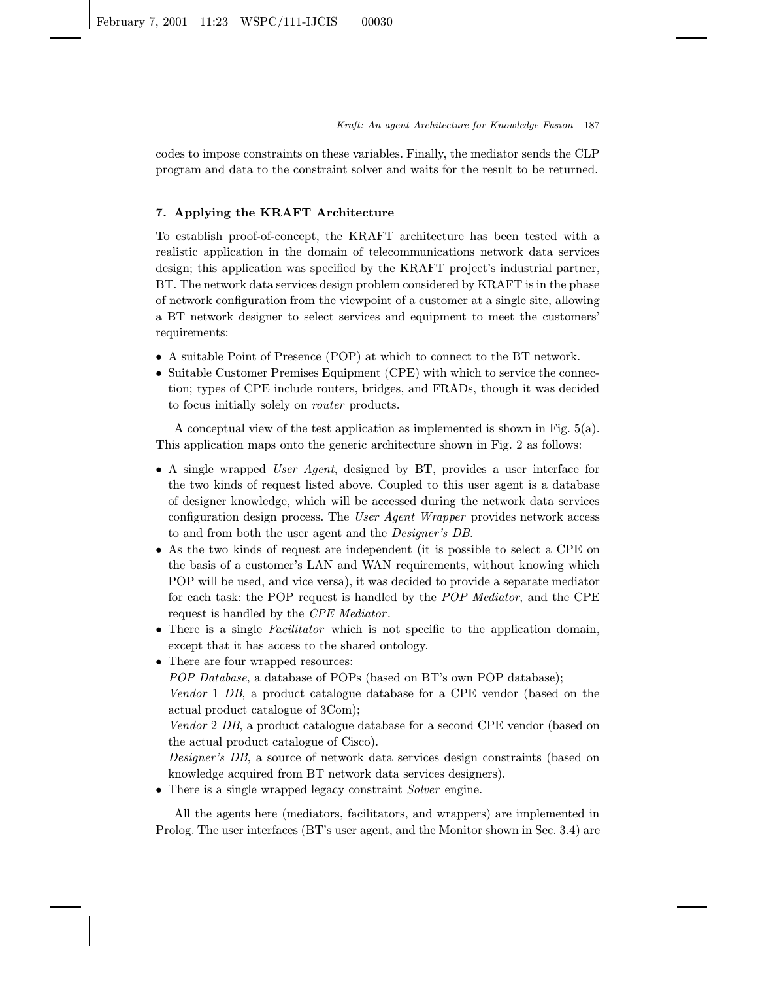codes to impose constraints on these variables. Finally, the mediator sends the CLP program and data to the constraint solver and waits for the result to be returned.

## 7. Applying the KRAFT Architecture

To establish proof-of-concept, the KRAFT architecture has been tested with a realistic application in the domain of telecommunications network data services design; this application was specified by the KRAFT project's industrial partner, BT. The network data services design problem considered by KRAFT is in the phase of network configuration from the viewpoint of a customer at a single site, allowing a BT network designer to select services and equipment to meet the customers' requirements:

- A suitable Point of Presence (POP) at which to connect to the BT network.
- Suitable Customer Premises Equipment (CPE) with which to service the connection; types of CPE include routers, bridges, and FRADs, though it was decided to focus initially solely on router products.

A conceptual view of the test application as implemented is shown in Fig. 5(a). This application maps onto the generic architecture shown in Fig. 2 as follows:

- A single wrapped User Agent, designed by BT, provides a user interface for the two kinds of request listed above. Coupled to this user agent is a database of designer knowledge, which will be accessed during the network data services configuration design process. The User Agent Wrapper provides network access to and from both the user agent and the Designer's DB.
- As the two kinds of request are independent (it is possible to select a CPE on the basis of a customer's LAN and WAN requirements, without knowing which POP will be used, and vice versa), it was decided to provide a separate mediator for each task: the POP request is handled by the POP Mediator, and the CPE request is handled by the CPE Mediator .
- There is a single *Facilitator* which is not specific to the application domain, except that it has access to the shared ontology.
- There are four wrapped resources: POP Database, a database of POPs (based on BT's own POP database); Vendor 1 DB, a product catalogue database for a CPE vendor (based on the actual product catalogue of 3Com); Vendor 2 DB, a product catalogue database for a second CPE vendor (based on the actual product catalogue of Cisco).

Designer's DB, a source of network data services design constraints (based on knowledge acquired from BT network data services designers).

• There is a single wrapped legacy constraint *Solver* engine.

All the agents here (mediators, facilitators, and wrappers) are implemented in Prolog. The user interfaces (BT's user agent, and the Monitor shown in Sec. 3.4) are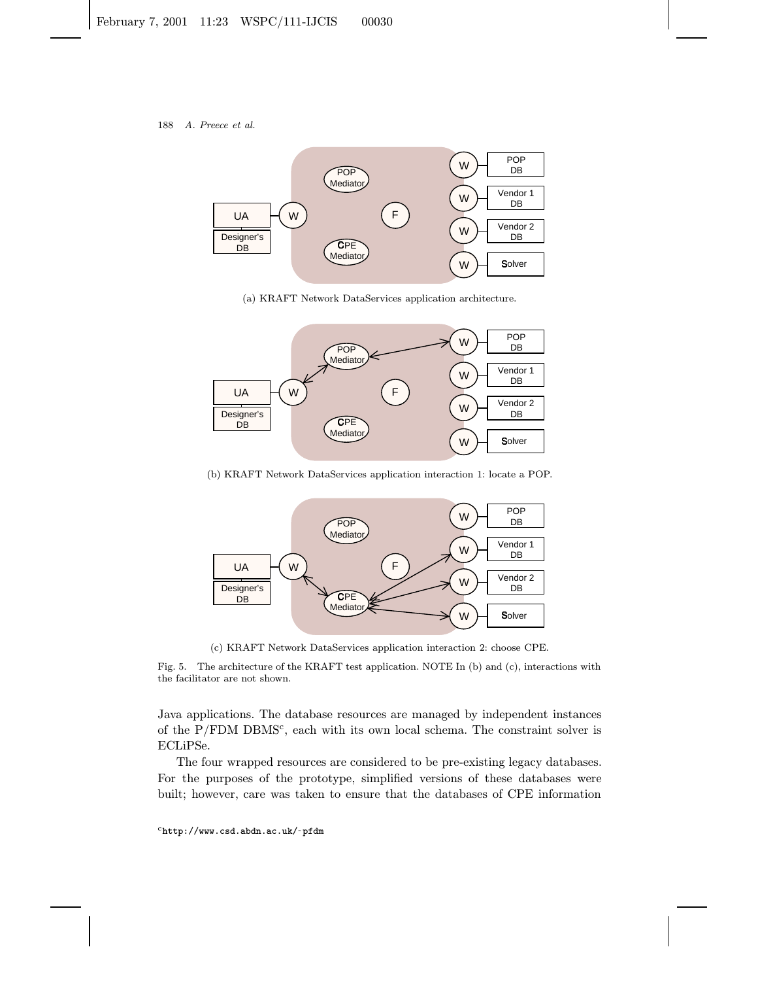

(a) KRAFT Network DataServices application architecture.



(b) KRAFT Network DataServices application interaction 1: locate a POP.



(c) KRAFT Network DataServices application interaction 2: choose CPE.

Fig. 5. The architecture of the KRAFT test application. NOTE In (b) and (c), interactions with the facilitator are not shown.

Java applications. The database resources are managed by independent instances of the  $P/FDM DBMS<sup>c</sup>$ , each with its own local schema. The constraint solver is ECLiPSe.

The four wrapped resources are considered to be pre-existing legacy databases. For the purposes of the prototype, simplified versions of these databases were built; however, care was taken to ensure that the databases of CPE information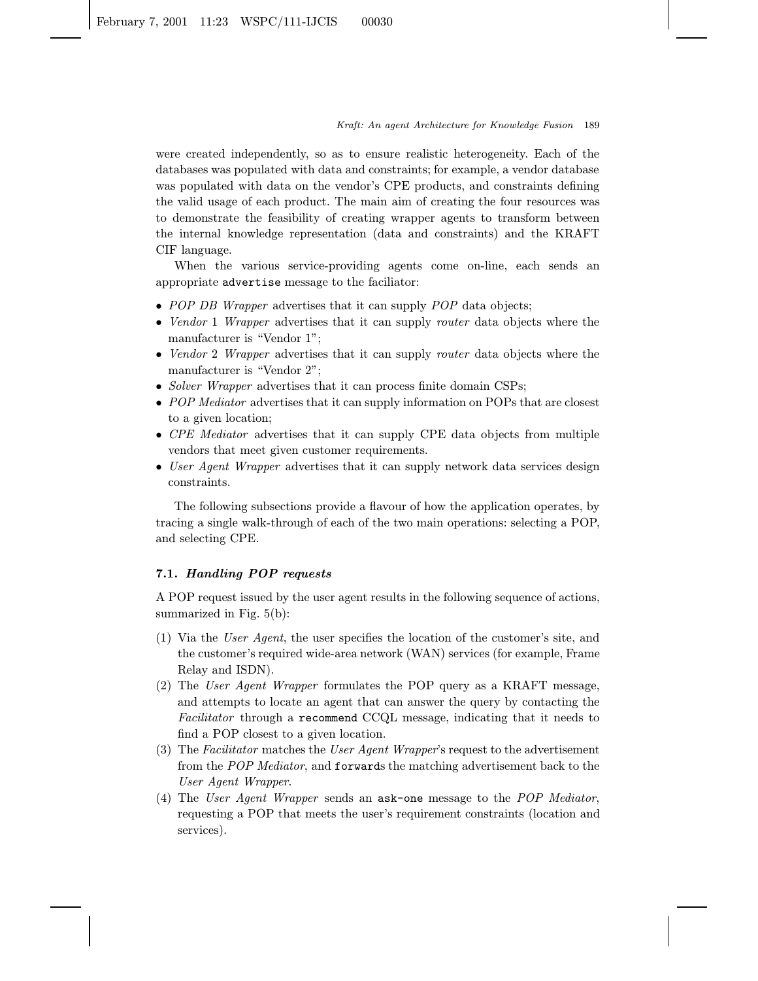were created independently, so as to ensure realistic heterogeneity. Each of the databases was populated with data and constraints; for example, a vendor database was populated with data on the vendor's CPE products, and constraints defining the valid usage of each product. The main aim of creating the four resources was to demonstrate the feasibility of creating wrapper agents to transform between the internal knowledge representation (data and constraints) and the KRAFT CIF language.

When the various service-providing agents come on-line, each sends an appropriate advertise message to the faciliator:

- POP DB Wrapper advertises that it can supply POP data objects;
- Vendor 1 Wrapper advertises that it can supply router data objects where the manufacturer is "Vendor 1";
- Vendor 2 Wrapper advertises that it can supply router data objects where the manufacturer is "Vendor 2";
- Solver Wrapper advertises that it can process finite domain CSPs;
- POP Mediator advertises that it can supply information on POPs that are closest to a given location;
- CPE Mediator advertises that it can supply CPE data objects from multiple vendors that meet given customer requirements.
- User Agent Wrapper advertises that it can supply network data services design constraints.

The following subsections provide a flavour of how the application operates, by tracing a single walk-through of each of the two main operations: selecting a POP, and selecting CPE.

## 7.1. Handling POP requests

A POP request issued by the user agent results in the following sequence of actions, summarized in Fig. 5(b):

- (1) Via the User Agent, the user specifies the location of the customer's site, and the customer's required wide-area network (WAN) services (for example, Frame Relay and ISDN).
- (2) The User Agent Wrapper formulates the POP query as a KRAFT message, and attempts to locate an agent that can answer the query by contacting the Facilitator through a recommend CCQL message, indicating that it needs to find a POP closest to a given location.
- (3) The Facilitator matches the User Agent Wrapper's request to the advertisement from the *POP Mediator*, and **forwards** the matching advertisement back to the User Agent Wrapper.
- (4) The User Agent Wrapper sends an ask-one message to the POP Mediator, requesting a POP that meets the user's requirement constraints (location and services).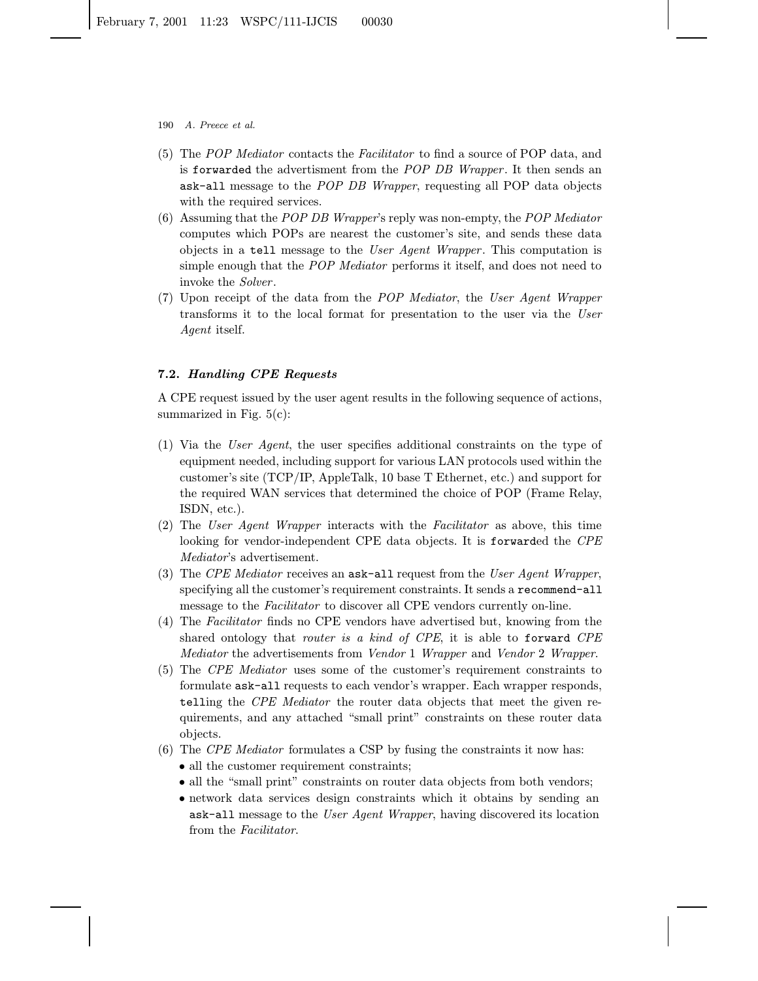- 190 A. Preece et al.
- (5) The POP Mediator contacts the Facilitator to find a source of POP data, and is forwarded the advertisment from the POP DB Wrapper. It then sends an ask-all message to the POP DB Wrapper, requesting all POP data objects with the required services.
- (6) Assuming that the POP DB Wrapper's reply was non-empty, the POP Mediator computes which POPs are nearest the customer's site, and sends these data objects in a tell message to the User Agent Wrapper. This computation is simple enough that the POP Mediator performs it itself, and does not need to invoke the Solver.
- (7) Upon receipt of the data from the POP Mediator, the User Agent Wrapper transforms it to the local format for presentation to the user via the User Agent itself.

## 7.2. Handling CPE Requests

A CPE request issued by the user agent results in the following sequence of actions, summarized in Fig.  $5(c)$ :

- (1) Via the User Agent, the user specifies additional constraints on the type of equipment needed, including support for various LAN protocols used within the customer's site (TCP/IP, AppleTalk, 10 base T Ethernet, etc.) and support for the required WAN services that determined the choice of POP (Frame Relay, ISDN, etc.).
- (2) The User Agent Wrapper interacts with the Facilitator as above, this time looking for vendor-independent CPE data objects. It is forwarded the CPE Mediator's advertisement.
- (3) The CPE Mediator receives an ask-all request from the User Agent Wrapper, specifying all the customer's requirement constraints. It sends a recommend-all message to the *Facilitator* to discover all CPE vendors currently on-line.
- (4) The Facilitator finds no CPE vendors have advertised but, knowing from the shared ontology that *router is a kind of CPE*, it is able to forward CPE Mediator the advertisements from Vendor 1 Wrapper and Vendor 2 Wrapper.
- (5) The CPE Mediator uses some of the customer's requirement constraints to formulate ask-all requests to each vendor's wrapper. Each wrapper responds, telling the CPE Mediator the router data objects that meet the given requirements, and any attached "small print" constraints on these router data objects.
- (6) The *CPE Mediator* formulates a CSP by fusing the constraints it now has:
	- all the customer requirement constraints;
	- all the "small print" constraints on router data objects from both vendors;
	- network data services design constraints which it obtains by sending an ask-all message to the User Agent Wrapper, having discovered its location from the Facilitator.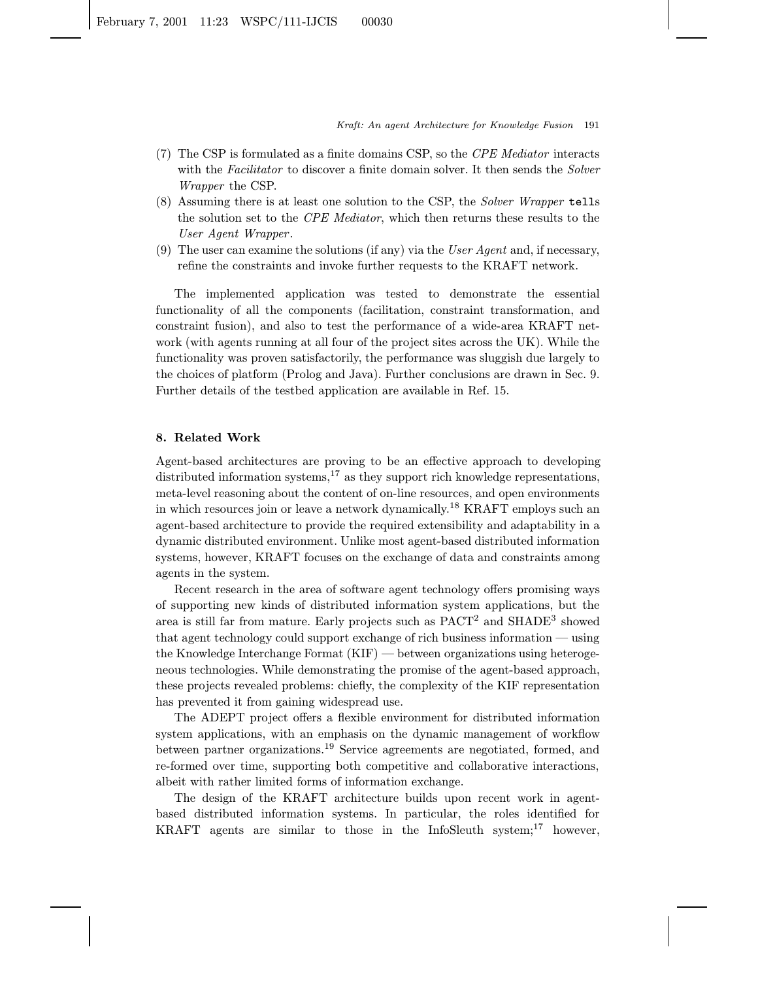- (7) The CSP is formulated as a finite domains CSP, so the CPE Mediator interacts with the *Facilitator* to discover a finite domain solver. It then sends the *Solver* Wrapper the CSP.
- (8) Assuming there is at least one solution to the CSP, the Solver Wrapper tells the solution set to the CPE Mediator, which then returns these results to the User Agent Wrapper .
- (9) The user can examine the solutions (if any) via the User Agent and, if necessary, refine the constraints and invoke further requests to the KRAFT network.

The implemented application was tested to demonstrate the essential functionality of all the components (facilitation, constraint transformation, and constraint fusion), and also to test the performance of a wide-area KRAFT network (with agents running at all four of the project sites across the UK). While the functionality was proven satisfactorily, the performance was sluggish due largely to the choices of platform (Prolog and Java). Further conclusions are drawn in Sec. 9. Further details of the testbed application are available in Ref. 15.

## 8. Related Work

Agent-based architectures are proving to be an effective approach to developing distributed information systems, $17$  as they support rich knowledge representations, meta-level reasoning about the content of on-line resources, and open environments in which resources join or leave a network dynamically.<sup>18</sup> KRAFT employs such an agent-based architecture to provide the required extensibility and adaptability in a dynamic distributed environment. Unlike most agent-based distributed information systems, however, KRAFT focuses on the exchange of data and constraints among agents in the system.

Recent research in the area of software agent technology offers promising ways of supporting new kinds of distributed information system applications, but the area is still far from mature. Early projects such as  $PACT<sup>2</sup>$  and  $SHADE<sup>3</sup>$  showed that agent technology could support exchange of rich business information — using the Knowledge Interchange Format (KIF) — between organizations using heterogeneous technologies. While demonstrating the promise of the agent-based approach, these projects revealed problems: chiefly, the complexity of the KIF representation has prevented it from gaining widespread use.

The ADEPT project offers a flexible environment for distributed information system applications, with an emphasis on the dynamic management of workflow between partner organizations.<sup>19</sup> Service agreements are negotiated, formed, and re-formed over time, supporting both competitive and collaborative interactions, albeit with rather limited forms of information exchange.

The design of the KRAFT architecture builds upon recent work in agentbased distributed information systems. In particular, the roles identified for KRAFT agents are similar to those in the InfoSleuth system;<sup>17</sup> however,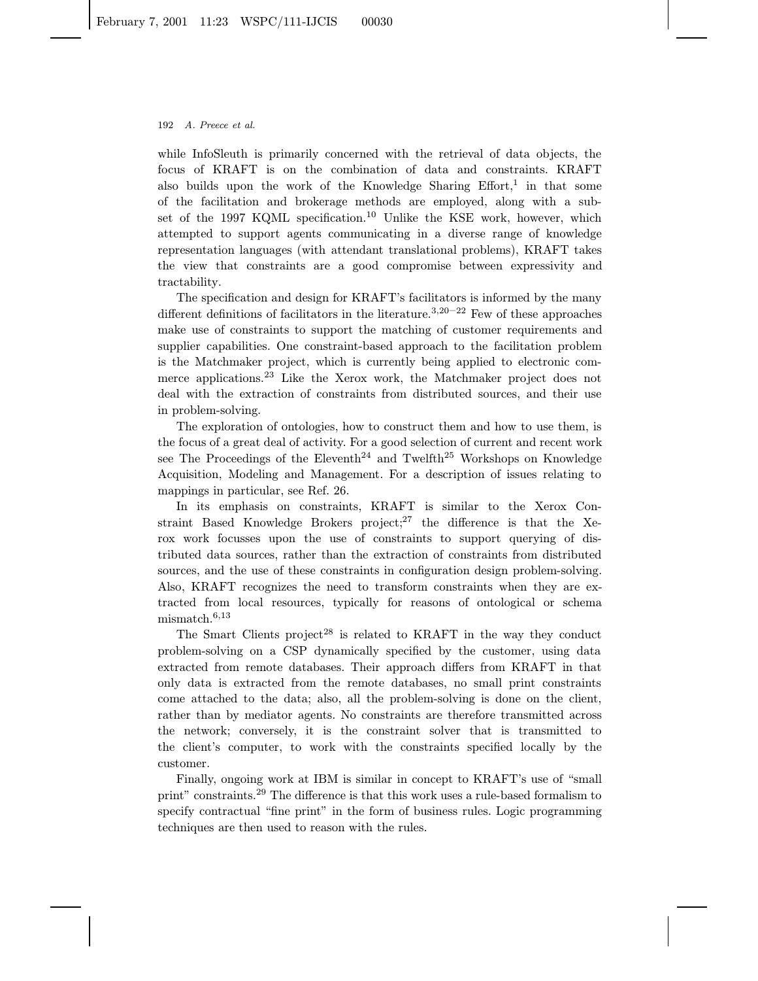while InfoSleuth is primarily concerned with the retrieval of data objects, the focus of KRAFT is on the combination of data and constraints. KRAFT also builds upon the work of the Knowledge Sharing  $Effort<sub>1</sub><sup>1</sup>$  in that some of the facilitation and brokerage methods are employed, along with a subset of the 1997 KQML specification.<sup>10</sup> Unlike the KSE work, however, which attempted to support agents communicating in a diverse range of knowledge representation languages (with attendant translational problems), KRAFT takes the view that constraints are a good compromise between expressivity and tractability.

The specification and design for KRAFT's facilitators is informed by the many different definitions of facilitators in the literature.<sup>3,20–22</sup> Few of these approaches make use of constraints to support the matching of customer requirements and supplier capabilities. One constraint-based approach to the facilitation problem is the Matchmaker project, which is currently being applied to electronic commerce applications.<sup>23</sup> Like the Xerox work, the Matchmaker project does not deal with the extraction of constraints from distributed sources, and their use in problem-solving.

The exploration of ontologies, how to construct them and how to use them, is the focus of a great deal of activity. For a good selection of current and recent work see The Proceedings of the Eleventh<sup>24</sup> and Twelfth<sup>25</sup> Workshops on Knowledge Acquisition, Modeling and Management. For a description of issues relating to mappings in particular, see Ref. 26.

In its emphasis on constraints, KRAFT is similar to the Xerox Constraint Based Knowledge Brokers project;<sup>27</sup> the difference is that the Xerox work focusses upon the use of constraints to support querying of distributed data sources, rather than the extraction of constraints from distributed sources, and the use of these constraints in configuration design problem-solving. Also, KRAFT recognizes the need to transform constraints when they are extracted from local resources, typically for reasons of ontological or schema  $mismatch.<sup>6,13</sup>$ 

The Smart Clients project<sup>28</sup> is related to KRAFT in the way they conduct problem-solving on a CSP dynamically specified by the customer, using data extracted from remote databases. Their approach differs from KRAFT in that only data is extracted from the remote databases, no small print constraints come attached to the data; also, all the problem-solving is done on the client, rather than by mediator agents. No constraints are therefore transmitted across the network; conversely, it is the constraint solver that is transmitted to the client's computer, to work with the constraints specified locally by the customer.

Finally, ongoing work at IBM is similar in concept to KRAFT's use of "small print" constraints.<sup>29</sup> The difference is that this work uses a rule-based formalism to specify contractual "fine print" in the form of business rules. Logic programming techniques are then used to reason with the rules.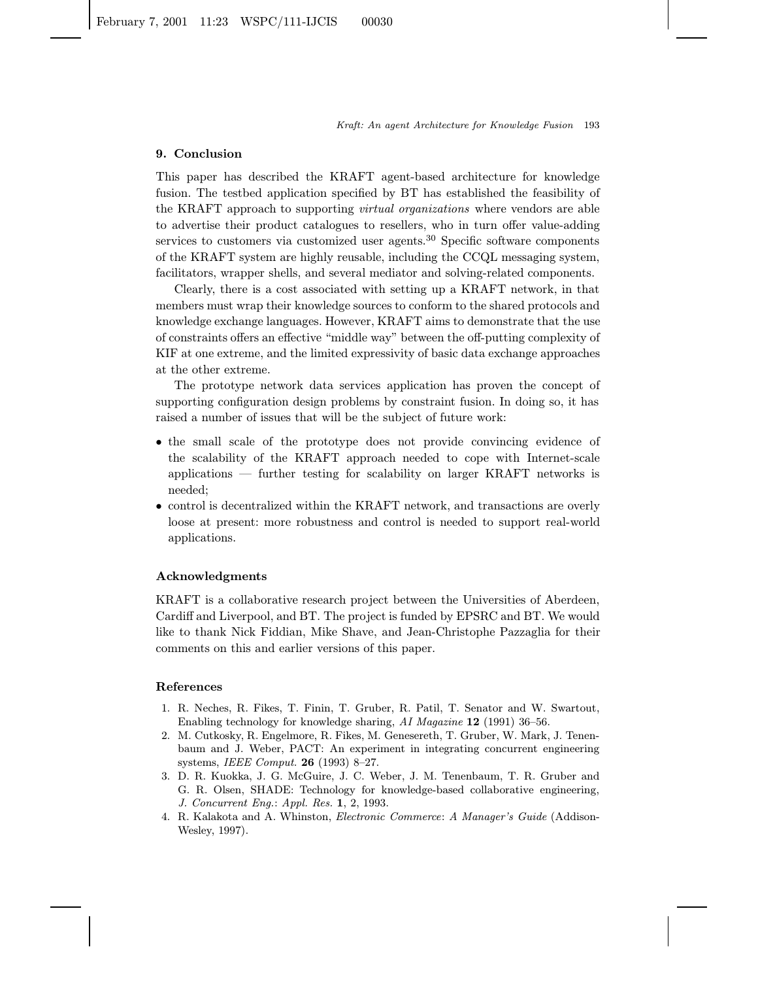## 9. Conclusion

This paper has described the KRAFT agent-based architecture for knowledge fusion. The testbed application specified by BT has established the feasibility of the KRAFT approach to supporting virtual organizations where vendors are able to advertise their product catalogues to resellers, who in turn offer value-adding services to customers via customized user agents. $30$  Specific software components of the KRAFT system are highly reusable, including the CCQL messaging system, facilitators, wrapper shells, and several mediator and solving-related components.

Clearly, there is a cost associated with setting up a KRAFT network, in that members must wrap their knowledge sources to conform to the shared protocols and knowledge exchange languages. However, KRAFT aims to demonstrate that the use of constraints offers an effective "middle way" between the off-putting complexity of KIF at one extreme, and the limited expressivity of basic data exchange approaches at the other extreme.

The prototype network data services application has proven the concept of supporting configuration design problems by constraint fusion. In doing so, it has raised a number of issues that will be the subject of future work:

- the small scale of the prototype does not provide convincing evidence of the scalability of the KRAFT approach needed to cope with Internet-scale applications — further testing for scalability on larger KRAFT networks is needed;
- control is decentralized within the KRAFT network, and transactions are overly loose at present: more robustness and control is needed to support real-world applications.

#### Acknowledgments

KRAFT is a collaborative research project between the Universities of Aberdeen, Cardiff and Liverpool, and BT. The project is funded by EPSRC and BT. We would like to thank Nick Fiddian, Mike Shave, and Jean-Christophe Pazzaglia for their comments on this and earlier versions of this paper.

## References

- 1. R. Neches, R. Fikes, T. Finin, T. Gruber, R. Patil, T. Senator and W. Swartout, Enabling technology for knowledge sharing, AI Magazine 12 (1991) 36–56.
- 2. M. Cutkosky, R. Engelmore, R. Fikes, M. Genesereth, T. Gruber, W. Mark, J. Tenenbaum and J. Weber, PACT: An experiment in integrating concurrent engineering systems, IEEE Comput. 26 (1993) 8–27.
- 3. D. R. Kuokka, J. G. McGuire, J. C. Weber, J. M. Tenenbaum, T. R. Gruber and G. R. Olsen, SHADE: Technology for knowledge-based collaborative engineering, J. Concurrent Eng.: Appl. Res. 1, 2, 1993.
- 4. R. Kalakota and A. Whinston, Electronic Commerce: A Manager's Guide (Addison-Wesley, 1997).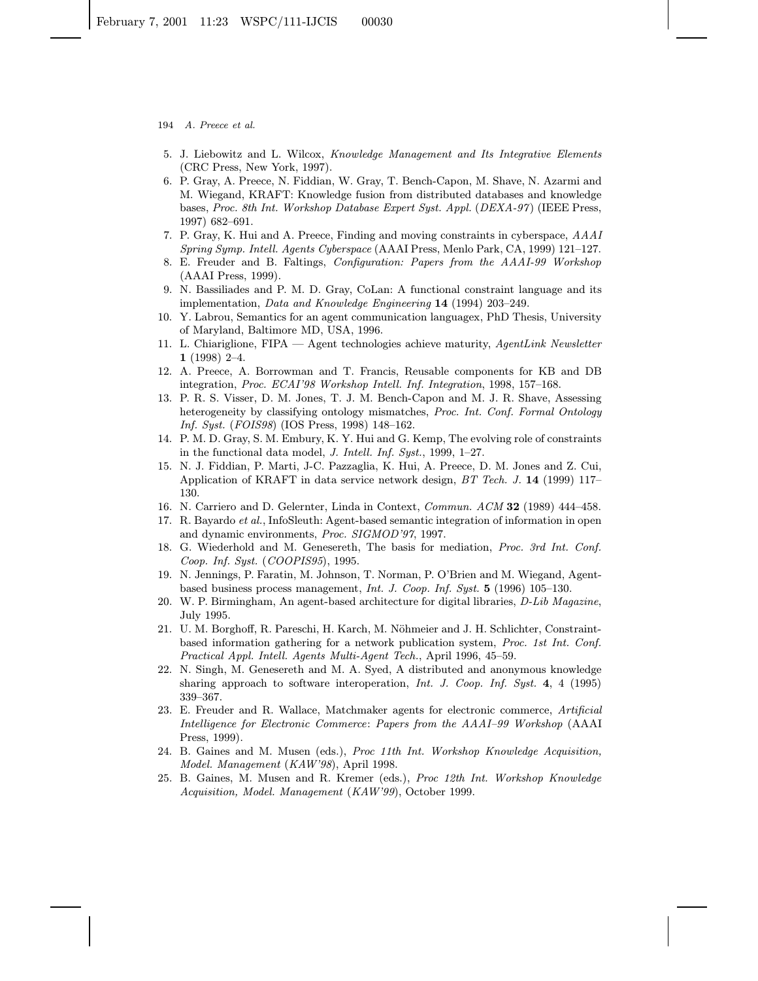- 5. J. Liebowitz and L. Wilcox, Knowledge Management and Its Integrative Elements (CRC Press, New York, 1997).
- 6. P. Gray, A. Preece, N. Fiddian, W. Gray, T. Bench-Capon, M. Shave, N. Azarmi and M. Wiegand, KRAFT: Knowledge fusion from distributed databases and knowledge bases, Proc. 8th Int. Workshop Database Expert Syst. Appl. (DEXA-97) (IEEE Press, 1997) 682–691.
- 7. P. Gray, K. Hui and A. Preece, Finding and moving constraints in cyberspace, AAAI Spring Symp. Intell. Agents Cyberspace (AAAI Press, Menlo Park, CA, 1999) 121–127.
- 8. E. Freuder and B. Faltings, Configuration: Papers from the AAAI-99 Workshop (AAAI Press, 1999).
- 9. N. Bassiliades and P. M. D. Gray, CoLan: A functional constraint language and its implementation, Data and Knowledge Engineering 14 (1994) 203–249.
- 10. Y. Labrou, Semantics for an agent communication languagex, PhD Thesis, University of Maryland, Baltimore MD, USA, 1996.
- 11. L. Chiariglione, FIPA Agent technologies achieve maturity, AgentLink Newsletter 1 (1998) 2–4.
- 12. A. Preece, A. Borrowman and T. Francis, Reusable components for KB and DB integration, Proc. ECAI'98 Workshop Intell. Inf. Integration, 1998, 157–168.
- 13. P. R. S. Visser, D. M. Jones, T. J. M. Bench-Capon and M. J. R. Shave, Assessing heterogeneity by classifying ontology mismatches, Proc. Int. Conf. Formal Ontology Inf. Syst. (FOIS98) (IOS Press, 1998) 148–162.
- 14. P. M. D. Gray, S. M. Embury, K. Y. Hui and G. Kemp, The evolving role of constraints in the functional data model, J. Intell. Inf. Syst., 1999, 1–27.
- 15. N. J. Fiddian, P. Marti, J-C. Pazzaglia, K. Hui, A. Preece, D. M. Jones and Z. Cui, Application of KRAFT in data service network design, BT Tech. J. 14 (1999) 117– 130.
- 16. N. Carriero and D. Gelernter, Linda in Context, Commun. ACM 32 (1989) 444–458.
- 17. R. Bayardo et al., InfoSleuth: Agent-based semantic integration of information in open and dynamic environments, Proc. SIGMOD'97, 1997.
- 18. G. Wiederhold and M. Genesereth, The basis for mediation, Proc. 3rd Int. Conf. Coop. Inf. Syst. (COOPIS95), 1995.
- 19. N. Jennings, P. Faratin, M. Johnson, T. Norman, P. O'Brien and M. Wiegand, Agentbased business process management, Int. J. Coop. Inf. Syst. 5 (1996) 105–130.
- 20. W. P. Birmingham, An agent-based architecture for digital libraries, D-Lib Magazine, July 1995.
- 21. U. M. Borghoff, R. Pareschi, H. Karch, M. Nöhmeier and J. H. Schlichter, Constraintbased information gathering for a network publication system, Proc. 1st Int. Conf. Practical Appl. Intell. Agents Multi-Agent Tech., April 1996, 45–59.
- 22. N. Singh, M. Genesereth and M. A. Syed, A distributed and anonymous knowledge sharing approach to software interoperation, *Int. J. Coop. Inf. Syst.* 4, 4 (1995) 339–367.
- 23. E. Freuder and R. Wallace, Matchmaker agents for electronic commerce, Artificial Intelligence for Electronic Commerce: Papers from the AAAI–99 Workshop (AAAI Press, 1999).
- 24. B. Gaines and M. Musen (eds.), Proc 11th Int. Workshop Knowledge Acquisition, Model. Management (KAW'98), April 1998.
- 25. B. Gaines, M. Musen and R. Kremer (eds.), Proc 12th Int. Workshop Knowledge Acquisition, Model. Management (KAW'99), October 1999.

<sup>194</sup> A. Preece et al.